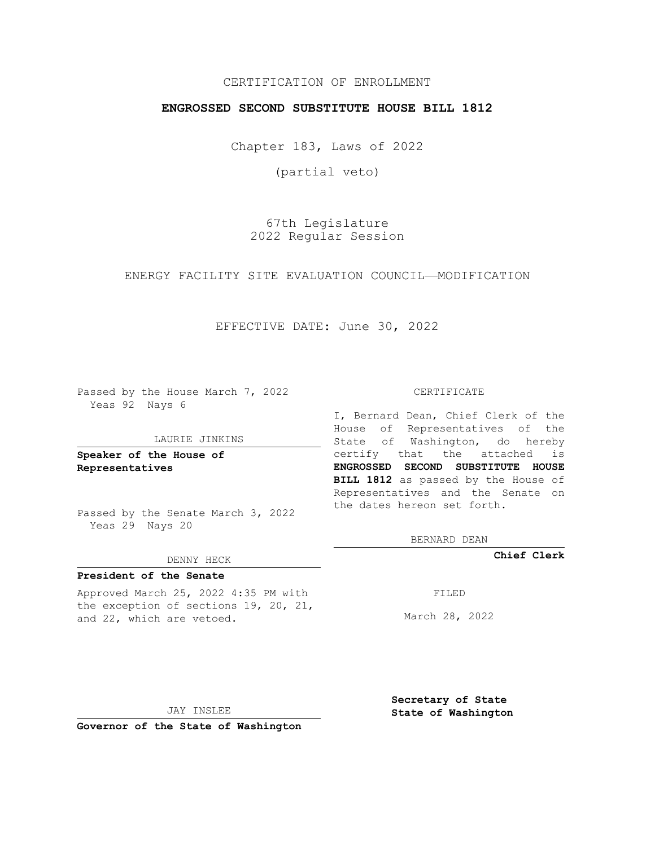## CERTIFICATION OF ENROLLMENT

## **ENGROSSED SECOND SUBSTITUTE HOUSE BILL 1812**

Chapter 183, Laws of 2022

(partial veto)

67th Legislature 2022 Regular Session

## ENERGY FACILITY SITE EVALUATION COUNCIL—MODIFICATION

EFFECTIVE DATE: June 30, 2022

Passed by the House March 7, 2022 Yeas 92 Nays 6

#### LAURIE JINKINS

**Speaker of the House of Representatives**

Passed by the Senate March 3, 2022 Yeas 29 Nays 20

#### DENNY HECK

## **President of the Senate**

Approved March 25, 2022 4:35 PM with the exception of sections 19, 20, 21, and 22, which are vetoed.

#### CERTIFICATE

I, Bernard Dean, Chief Clerk of the House of Representatives of the State of Washington, do hereby certify that the attached is **ENGROSSED SECOND SUBSTITUTE HOUSE BILL 1812** as passed by the House of Representatives and the Senate on the dates hereon set forth.

BERNARD DEAN

**Chief Clerk**

FILED

March 28, 2022

JAY INSLEE

**Governor of the State of Washington**

**Secretary of State State of Washington**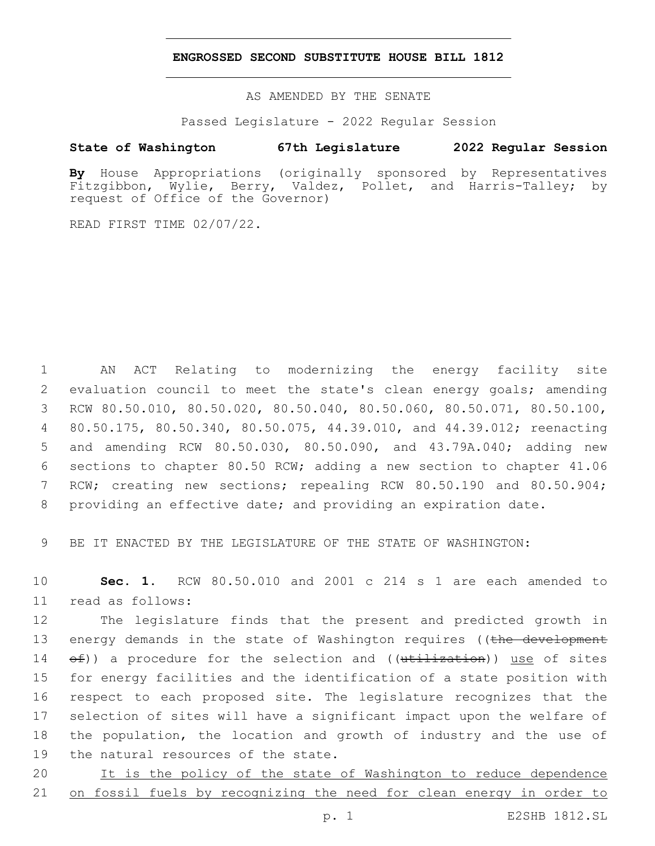## **ENGROSSED SECOND SUBSTITUTE HOUSE BILL 1812**

AS AMENDED BY THE SENATE

Passed Legislature - 2022 Regular Session

# **State of Washington 67th Legislature 2022 Regular Session**

**By** House Appropriations (originally sponsored by Representatives Fitzgibbon, Wylie, Berry, Valdez, Pollet, and Harris-Talley; by request of Office of the Governor)

READ FIRST TIME 02/07/22.

 AN ACT Relating to modernizing the energy facility site evaluation council to meet the state's clean energy goals; amending RCW 80.50.010, 80.50.020, 80.50.040, 80.50.060, 80.50.071, 80.50.100, 80.50.175, 80.50.340, 80.50.075, 44.39.010, and 44.39.012; reenacting and amending RCW 80.50.030, 80.50.090, and 43.79A.040; adding new sections to chapter 80.50 RCW; adding a new section to chapter 41.06 7 RCW; creating new sections; repealing RCW 80.50.190 and 80.50.904; providing an effective date; and providing an expiration date.

9 BE IT ENACTED BY THE LEGISLATURE OF THE STATE OF WASHINGTON:

10 **Sec. 1.** RCW 80.50.010 and 2001 c 214 s 1 are each amended to 11 read as follows:

 The legislature finds that the present and predicted growth in 13 energy demands in the state of Washington requires ((the development  $\leftrightarrow$   $\leftrightarrow$  a procedure for the selection and (( $\text{utilization}$ )) use of sites for energy facilities and the identification of a state position with respect to each proposed site. The legislature recognizes that the selection of sites will have a significant impact upon the welfare of the population, the location and growth of industry and the use of 19 the natural resources of the state.

20 It is the policy of the state of Washington to reduce dependence 21 on fossil fuels by recognizing the need for clean energy in order to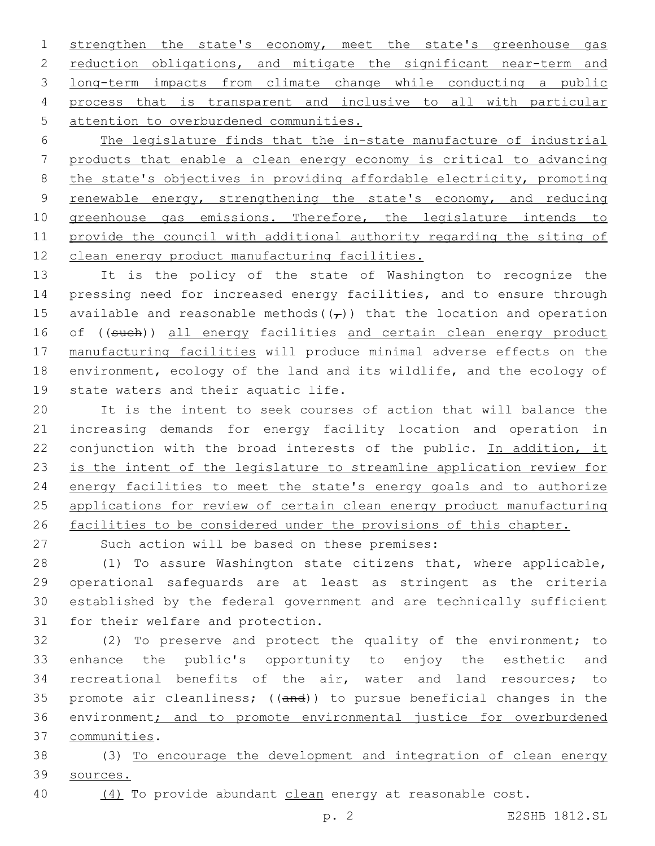strengthen the state's economy, meet the state's greenhouse gas 2 reduction obligations, and mitigate the significant near-term and long-term impacts from climate change while conducting a public process that is transparent and inclusive to all with particular 5 attention to overburdened communities.

 The legislature finds that the in-state manufacture of industrial products that enable a clean energy economy is critical to advancing the state's objectives in providing affordable electricity, promoting renewable energy, strengthening the state's economy, and reducing 10 greenhouse gas emissions. Therefore, the legislature intends to 11 provide the council with additional authority regarding the siting of clean energy product manufacturing facilities.

 It is the policy of the state of Washington to recognize the pressing need for increased energy facilities, and to ensure through 15 available and reasonable methods( $(\tau)$ ) that the location and operation 16 of ((such)) all energy facilities and certain clean energy product manufacturing facilities will produce minimal adverse effects on the environment, ecology of the land and its wildlife, and the ecology of 19 state waters and their aquatic life.

 It is the intent to seek courses of action that will balance the increasing demands for energy facility location and operation in 22 conjunction with the broad interests of the public. In addition, it is the intent of the legislature to streamline application review for 24 energy facilities to meet the state's energy goals and to authorize applications for review of certain clean energy product manufacturing facilities to be considered under the provisions of this chapter.

27 Such action will be based on these premises:

 (1) To assure Washington state citizens that, where applicable, operational safeguards are at least as stringent as the criteria established by the federal government and are technically sufficient 31 for their welfare and protection.

 (2) To preserve and protect the quality of the environment; to enhance the public's opportunity to enjoy the esthetic and recreational benefits of the air, water and land resources; to promote air cleanliness; ((and)) to pursue beneficial changes in the environment; and to promote environmental justice for overburdened communities.37

 (3) To encourage the development and integration of clean energy sources.

(4) To provide abundant clean energy at reasonable cost.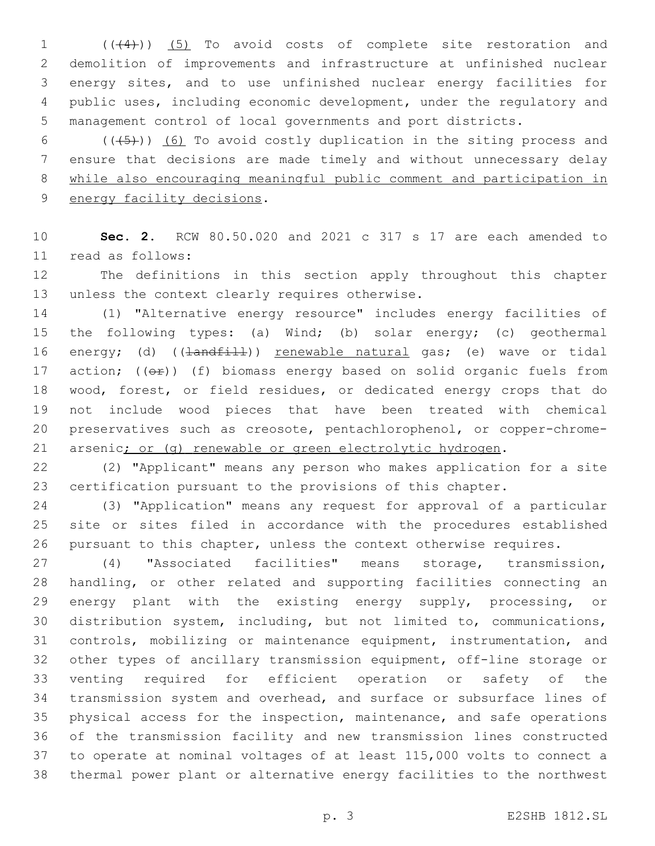1 (((4))) (5) To avoid costs of complete site restoration and demolition of improvements and infrastructure at unfinished nuclear energy sites, and to use unfinished nuclear energy facilities for public uses, including economic development, under the regulatory and management control of local governments and port districts.

 $((+5))$  (6) To avoid costly duplication in the siting process and ensure that decisions are made timely and without unnecessary delay while also encouraging meaningful public comment and participation in 9 energy facility decisions.

 **Sec. 2.** RCW 80.50.020 and 2021 c 317 s 17 are each amended to 11 read as follows:

 The definitions in this section apply throughout this chapter 13 unless the context clearly requires otherwise.

 (1) "Alternative energy resource" includes energy facilities of the following types: (a) Wind; (b) solar energy; (c) geothermal 16 energy; (d) ((<del>landfill</del>)) renewable natural gas; (e) wave or tidal 17 action;  $((e^{\frac{1}{2}})$  (f) biomass energy based on solid organic fuels from wood, forest, or field residues, or dedicated energy crops that do not include wood pieces that have been treated with chemical preservatives such as creosote, pentachlorophenol, or copper-chrome-21 arsenic; or (g) renewable or green electrolytic hydrogen.

 (2) "Applicant" means any person who makes application for a site certification pursuant to the provisions of this chapter.

 (3) "Application" means any request for approval of a particular site or sites filed in accordance with the procedures established pursuant to this chapter, unless the context otherwise requires.

 (4) "Associated facilities" means storage, transmission, handling, or other related and supporting facilities connecting an energy plant with the existing energy supply, processing, or distribution system, including, but not limited to, communications, controls, mobilizing or maintenance equipment, instrumentation, and other types of ancillary transmission equipment, off-line storage or venting required for efficient operation or safety of the transmission system and overhead, and surface or subsurface lines of physical access for the inspection, maintenance, and safe operations of the transmission facility and new transmission lines constructed to operate at nominal voltages of at least 115,000 volts to connect a thermal power plant or alternative energy facilities to the northwest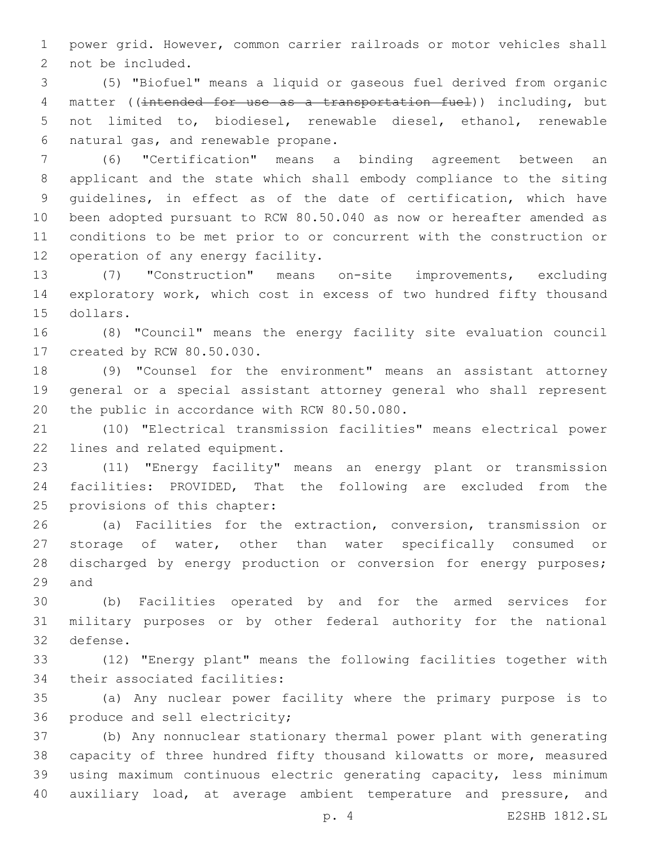power grid. However, common carrier railroads or motor vehicles shall 2 not be included.

 (5) "Biofuel" means a liquid or gaseous fuel derived from organic 4 matter ((intended for use as a transportation fuel)) including, but not limited to, biodiesel, renewable diesel, ethanol, renewable 6 natural gas, and renewable propane.

 (6) "Certification" means a binding agreement between an applicant and the state which shall embody compliance to the siting guidelines, in effect as of the date of certification, which have been adopted pursuant to RCW 80.50.040 as now or hereafter amended as conditions to be met prior to or concurrent with the construction or 12 operation of any energy facility.

 (7) "Construction" means on-site improvements, excluding exploratory work, which cost in excess of two hundred fifty thousand 15 dollars.

 (8) "Council" means the energy facility site evaluation council 17 created by RCW 80.50.030.

 (9) "Counsel for the environment" means an assistant attorney general or a special assistant attorney general who shall represent 20 the public in accordance with RCW 80.50.080.

 (10) "Electrical transmission facilities" means electrical power 22 lines and related equipment.

 (11) "Energy facility" means an energy plant or transmission facilities: PROVIDED, That the following are excluded from the 25 provisions of this chapter:

 (a) Facilities for the extraction, conversion, transmission or storage of water, other than water specifically consumed or 28 discharged by energy production or conversion for energy purposes; 29 and

 (b) Facilities operated by and for the armed services for military purposes or by other federal authority for the national 32 defense.

 (12) "Energy plant" means the following facilities together with 34 their associated facilities:

 (a) Any nuclear power facility where the primary purpose is to 36 produce and sell electricity;

 (b) Any nonnuclear stationary thermal power plant with generating capacity of three hundred fifty thousand kilowatts or more, measured using maximum continuous electric generating capacity, less minimum 40 auxiliary load, at average ambient temperature and pressure, and

p. 4 E2SHB 1812.SL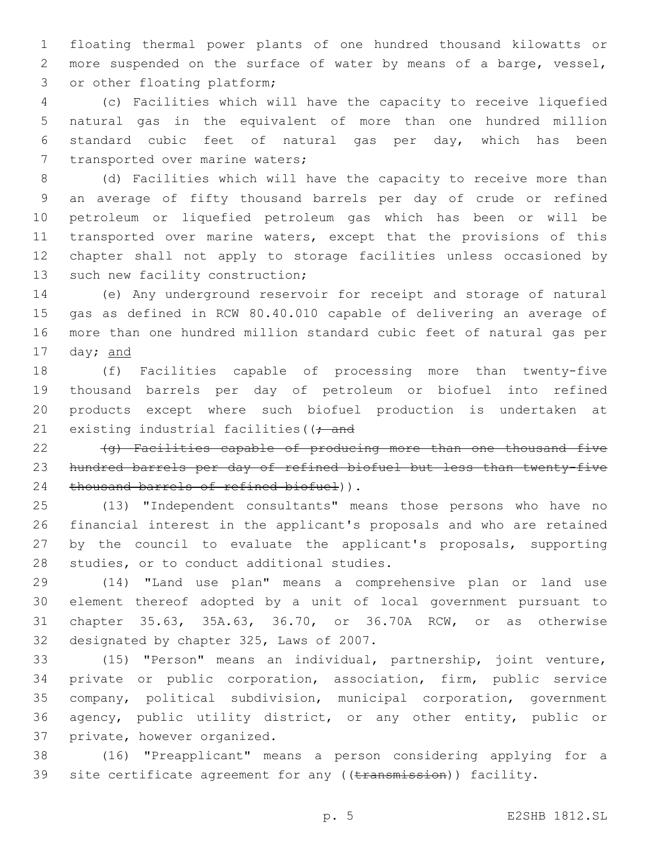floating thermal power plants of one hundred thousand kilowatts or more suspended on the surface of water by means of a barge, vessel, 3 or other floating platform;

 (c) Facilities which will have the capacity to receive liquefied natural gas in the equivalent of more than one hundred million standard cubic feet of natural gas per day, which has been 7 transported over marine waters;

 (d) Facilities which will have the capacity to receive more than an average of fifty thousand barrels per day of crude or refined petroleum or liquefied petroleum gas which has been or will be transported over marine waters, except that the provisions of this chapter shall not apply to storage facilities unless occasioned by 13 such new facility construction;

 (e) Any underground reservoir for receipt and storage of natural gas as defined in RCW 80.40.010 capable of delivering an average of more than one hundred million standard cubic feet of natural gas per day; and

 (f) Facilities capable of processing more than twenty-five thousand barrels per day of petroleum or biofuel into refined products except where such biofuel production is undertaken at 21 existing industrial facilities ( $\rightarrow$  and

 (g) Facilities capable of producing more than one thousand five hundred barrels per day of refined biofuel but less than twenty-five 24 thousand barrels of refined biofuel)).

 (13) "Independent consultants" means those persons who have no financial interest in the applicant's proposals and who are retained by the council to evaluate the applicant's proposals, supporting 28 studies, or to conduct additional studies.

 (14) "Land use plan" means a comprehensive plan or land use element thereof adopted by a unit of local government pursuant to chapter 35.63, 35A.63, 36.70, or 36.70A RCW, or as otherwise 32 designated by chapter 325, Laws of 2007.

 (15) "Person" means an individual, partnership, joint venture, private or public corporation, association, firm, public service company, political subdivision, municipal corporation, government agency, public utility district, or any other entity, public or 37 private, however organized.

 (16) "Preapplicant" means a person considering applying for a 39 site certificate agreement for any ((transmission)) facility.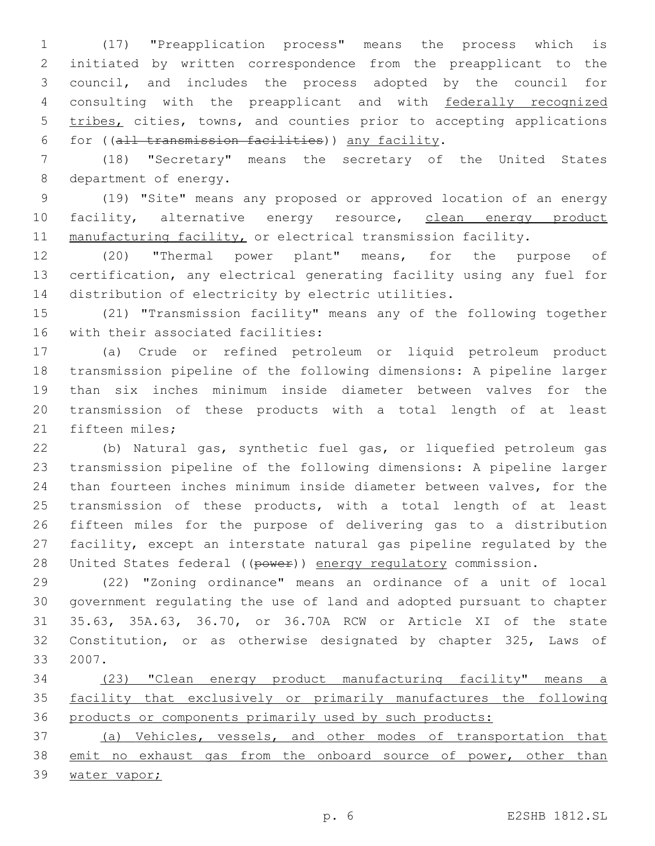(17) "Preapplication process" means the process which is initiated by written correspondence from the preapplicant to the council, and includes the process adopted by the council for consulting with the preapplicant and with federally recognized 5 tribes, cities, towns, and counties prior to accepting applications for ((all transmission facilities)) any facility.6

 (18) "Secretary" means the secretary of the United States 8 department of energy.

 (19) "Site" means any proposed or approved location of an energy 10 facility, alternative energy resource, clean energy product 11 manufacturing facility, or electrical transmission facility.

 (20) "Thermal power plant" means, for the purpose of certification, any electrical generating facility using any fuel for distribution of electricity by electric utilities.

 (21) "Transmission facility" means any of the following together 16 with their associated facilities:

 (a) Crude or refined petroleum or liquid petroleum product transmission pipeline of the following dimensions: A pipeline larger than six inches minimum inside diameter between valves for the transmission of these products with a total length of at least 21 fifteen miles;

 (b) Natural gas, synthetic fuel gas, or liquefied petroleum gas transmission pipeline of the following dimensions: A pipeline larger than fourteen inches minimum inside diameter between valves, for the transmission of these products, with a total length of at least fifteen miles for the purpose of delivering gas to a distribution facility, except an interstate natural gas pipeline regulated by the 28 United States federal ((power)) energy regulatory commission.

 (22) "Zoning ordinance" means an ordinance of a unit of local government regulating the use of land and adopted pursuant to chapter 35.63, 35A.63, 36.70, or 36.70A RCW or Article XI of the state Constitution, or as otherwise designated by chapter 325, Laws of 33 2007.

 (23) "Clean energy product manufacturing facility" means a facility that exclusively or primarily manufactures the following products or components primarily used by such products:

 (a) Vehicles, vessels, and other modes of transportation that 38 emit no exhaust gas from the onboard source of power, other than 39 water vapor;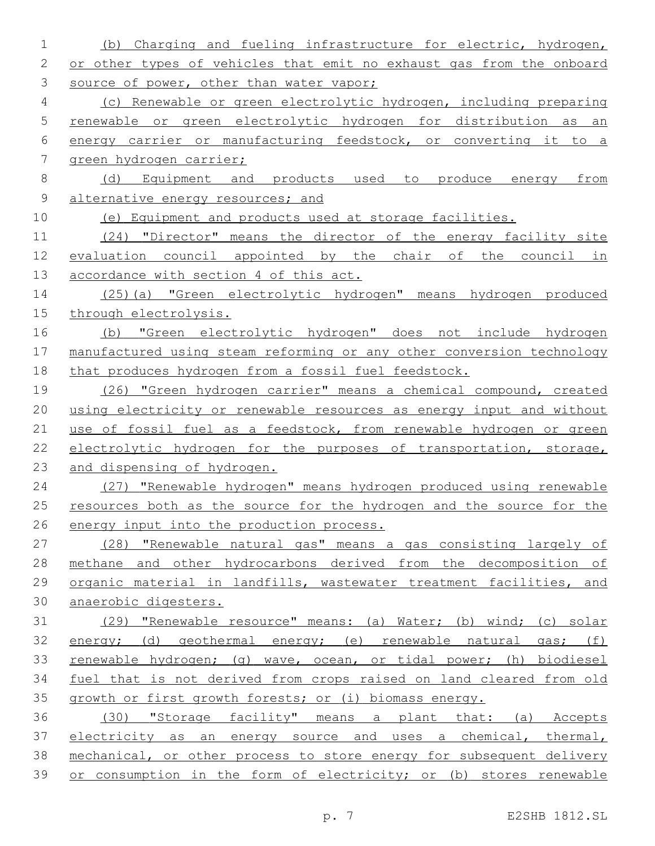(b) Charging and fueling infrastructure for electric, hydrogen, 2 or other types of vehicles that emit no exhaust gas from the onboard 3 source of power, other than water vapor; (c) Renewable or green electrolytic hydrogen, including preparing renewable or green electrolytic hydrogen for distribution as an energy carrier or manufacturing feedstock, or converting it to a green hydrogen carrier; (d) Equipment and products used to produce energy from 9 alternative energy resources; and (e) Equipment and products used at storage facilities. (24) "Director" means the director of the energy facility site evaluation council appointed by the chair of the council in 13 accordance with section 4 of this act. (25)(a) "Green electrolytic hydrogen" means hydrogen produced through electrolysis. (b) "Green electrolytic hydrogen" does not include hydrogen manufactured using steam reforming or any other conversion technology that produces hydrogen from a fossil fuel feedstock. (26) "Green hydrogen carrier" means a chemical compound, created using electricity or renewable resources as energy input and without 21 use of fossil fuel as a feedstock, from renewable hydrogen or green electrolytic hydrogen for the purposes of transportation, storage, and dispensing of hydrogen. (27) "Renewable hydrogen" means hydrogen produced using renewable 25 resources both as the source for the hydrogen and the source for the energy input into the production process. (28) "Renewable natural gas" means a gas consisting largely of methane and other hydrocarbons derived from the decomposition of organic material in landfills, wastewater treatment facilities, and anaerobic digesters. (29) "Renewable resource" means: (a) Water; (b) wind; (c) solar energy; (d) geothermal energy; (e) renewable natural gas; (f) renewable hydrogen; (g) wave, ocean, or tidal power; (h) biodiesel fuel that is not derived from crops raised on land cleared from old growth or first growth forests; or (i) biomass energy. (30) "Storage facility" means a plant that: (a) Accepts 37 electricity as an energy source and uses a chemical, thermal, mechanical, or other process to store energy for subsequent delivery or consumption in the form of electricity; or (b) stores renewable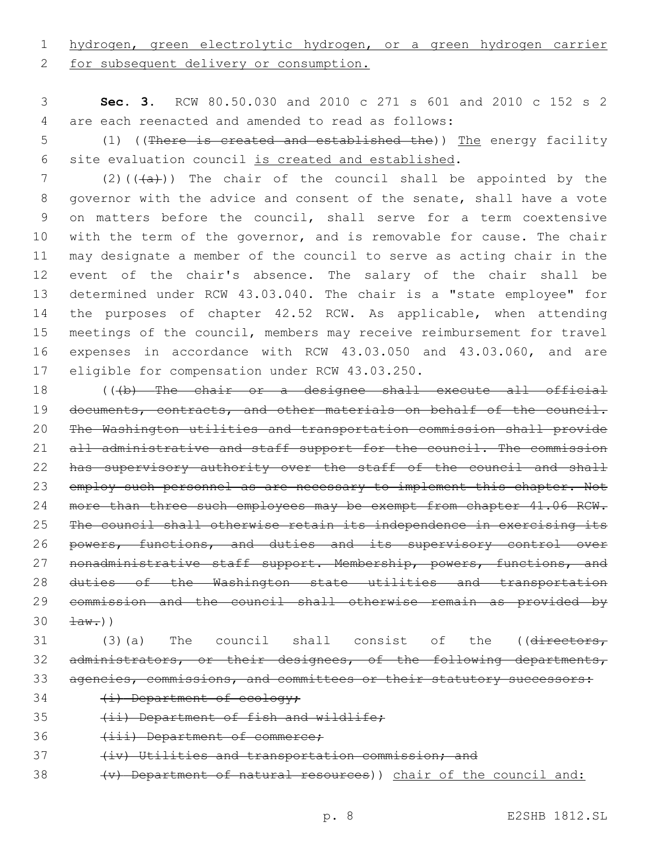# 1 hydrogen, green electrolytic hydrogen, or a green hydrogen carrier

2 for subsequent delivery or consumption.

3 **Sec. 3.** RCW 80.50.030 and 2010 c 271 s 601 and 2010 c 152 s 2 are each reenacted and amended to read as follows:4

5 (1) ((There is created and established the)) The energy facility 6 site evaluation council is created and established.

7 (2)( $(\overline{a})$ ) The chair of the council shall be appointed by the governor with the advice and consent of the senate, shall have a vote on matters before the council, shall serve for a term coextensive 10 with the term of the governor, and is removable for cause. The chair may designate a member of the council to serve as acting chair in the event of the chair's absence. The salary of the chair shall be determined under RCW 43.03.040. The chair is a "state employee" for 14 the purposes of chapter 42.52 RCW. As applicable, when attending meetings of the council, members may receive reimbursement for travel expenses in accordance with RCW 43.03.050 and 43.03.060, and are 17 eligible for compensation under RCW 43.03.250.

18 (((b) The chair or a designee shall execute all official 19 documents, contracts, and other materials on behalf of the council. 20 The Washington utilities and transportation commission shall provide 21 all administrative and staff support for the council. The commission 22 has supervisory authority over the staff of the council and shall 23 employ such personnel as are necessary to implement this chapter. Not 24 more than three such employees may be exempt from chapter 41.06 RCW. 25 The council shall otherwise retain its independence in exercising its 26 powers, functions, and duties and its supervisory control over 27 nonadministrative staff support. Membership, powers, functions, and 28 duties of the Washington state utilities and transportation 29 commission and the council shall otherwise remain as provided by  $30 \frac{1}{4}$   $\frac{1}{2}$ 

- 31 (3)(a) The council shall consist of the ((directors, 32 administrators, or their designees, of the following departments, 33 agencies, commissions, and committees or their statutory successors:
- 34 (i) Department of ecology;
- 35 (ii) Department of fish and wildlife;
- 36 (iii) Department of commerce;
- 37 (iv) Utilities and transportation commission; and
- 38 (v) Department of natural resources)) chair of the council and: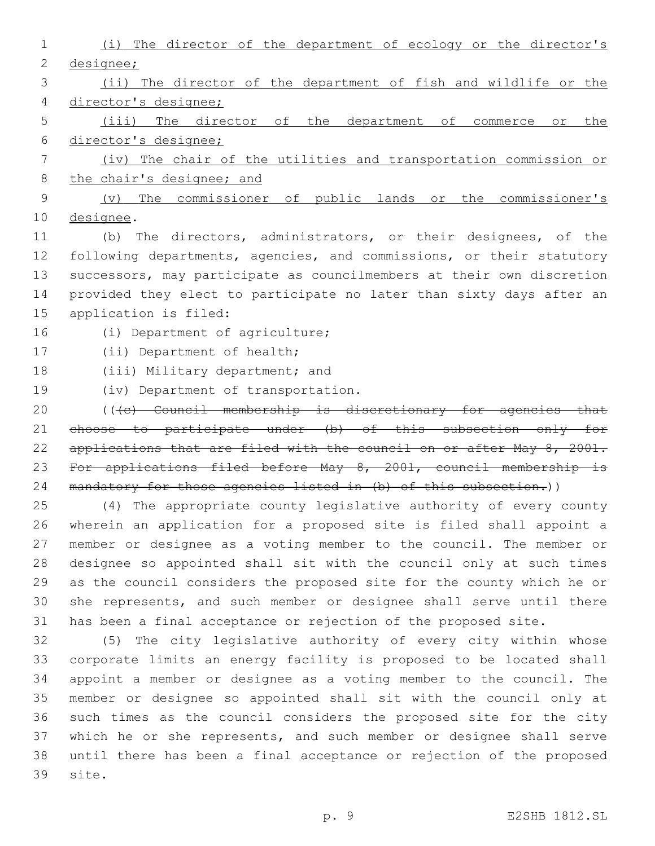| 1              | (i) The director of the department of ecology or the director's       |
|----------------|-----------------------------------------------------------------------|
| $\overline{2}$ | designee;                                                             |
| 3              | (ii) The director of the department of fish and wildlife or the       |
| 4              | director's designee;                                                  |
| 5              | The director of the department of commerce or the<br>$(i$ iii)        |
| 6              | director's designee;                                                  |
| 7              | (iv) The chair of the utilities and transportation commission or      |
| 8              | the chair's designee; and                                             |
| 9              | The commissioner of public lands or the commissioner's<br>$(\nabla)$  |
| 10             | designee.                                                             |
| 11             | The directors, administrators, or their designees, of the<br>(b)      |
| 12             | following departments, agencies, and commissions, or their statutory  |
| 13             | successors, may participate as councilmembers at their own discretion |
| 14             | provided they elect to participate no later than sixty days after an  |
| 15             | application is filed:                                                 |
| 16             | (i) Department of agriculture;                                        |
| 17             | (ii) Department of health;                                            |
| 18             | (iii) Military department; and                                        |
| 19             | (iv) Department of transportation.                                    |
| 20             | (((e) Council membership is discretionary for agencies that           |
| 21             | choose to participate under (b) of this subsection only for           |
| 22             | applications that are filed with the council on or after May 8, 2001. |
| 23             | For applications filed before May 8, 2001, council membership is      |
| 24             | mandatory for those agencies listed in (b) of this subsection.))      |
| 25             | (4) The appropriate county legislative authority of every county      |
| 26             | wherein an application for a proposed site is filed shall appoint a   |
| 27             | member or designee as a voting member to the council. The member or   |
| 28             | designee so appointed shall sit with the council only at such times   |
| 29             | as the council considers the proposed site for the county which he or |
| 30             | she represents, and such member or designee shall serve until there   |
| 31             | has been a final acceptance or rejection of the proposed site.        |

 (5) The city legislative authority of every city within whose corporate limits an energy facility is proposed to be located shall appoint a member or designee as a voting member to the council. The member or designee so appointed shall sit with the council only at such times as the council considers the proposed site for the city which he or she represents, and such member or designee shall serve until there has been a final acceptance or rejection of the proposed 39 site.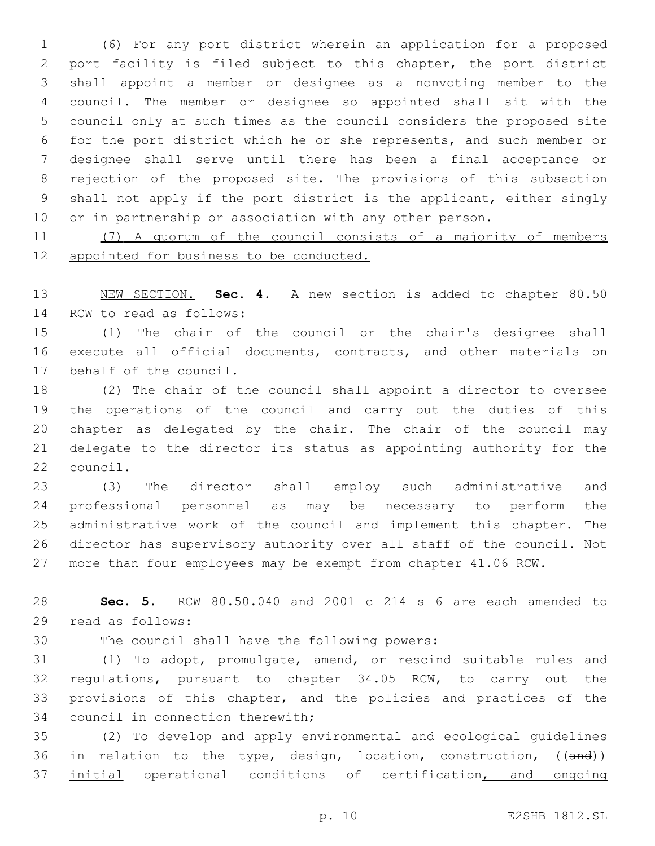(6) For any port district wherein an application for a proposed port facility is filed subject to this chapter, the port district shall appoint a member or designee as a nonvoting member to the council. The member or designee so appointed shall sit with the council only at such times as the council considers the proposed site for the port district which he or she represents, and such member or designee shall serve until there has been a final acceptance or rejection of the proposed site. The provisions of this subsection shall not apply if the port district is the applicant, either singly or in partnership or association with any other person.

 (7) A quorum of the council consists of a majority of members 12 appointed for business to be conducted.

 NEW SECTION. **Sec. 4.** A new section is added to chapter 80.50 14 RCW to read as follows:

 (1) The chair of the council or the chair's designee shall execute all official documents, contracts, and other materials on 17 behalf of the council.

 (2) The chair of the council shall appoint a director to oversee the operations of the council and carry out the duties of this chapter as delegated by the chair. The chair of the council may delegate to the director its status as appointing authority for the 22 council.

 (3) The director shall employ such administrative and professional personnel as may be necessary to perform the administrative work of the council and implement this chapter. The director has supervisory authority over all staff of the council. Not more than four employees may be exempt from chapter 41.06 RCW.

 **Sec. 5.** RCW 80.50.040 and 2001 c 214 s 6 are each amended to 29 read as follows:

30 The council shall have the following powers:

 (1) To adopt, promulgate, amend, or rescind suitable rules and regulations, pursuant to chapter 34.05 RCW, to carry out the provisions of this chapter, and the policies and practices of the 34 council in connection therewith;

 (2) To develop and apply environmental and ecological guidelines 36 in relation to the type, design, location, construction, ((and)) 37 initial operational conditions of certification, and ongoing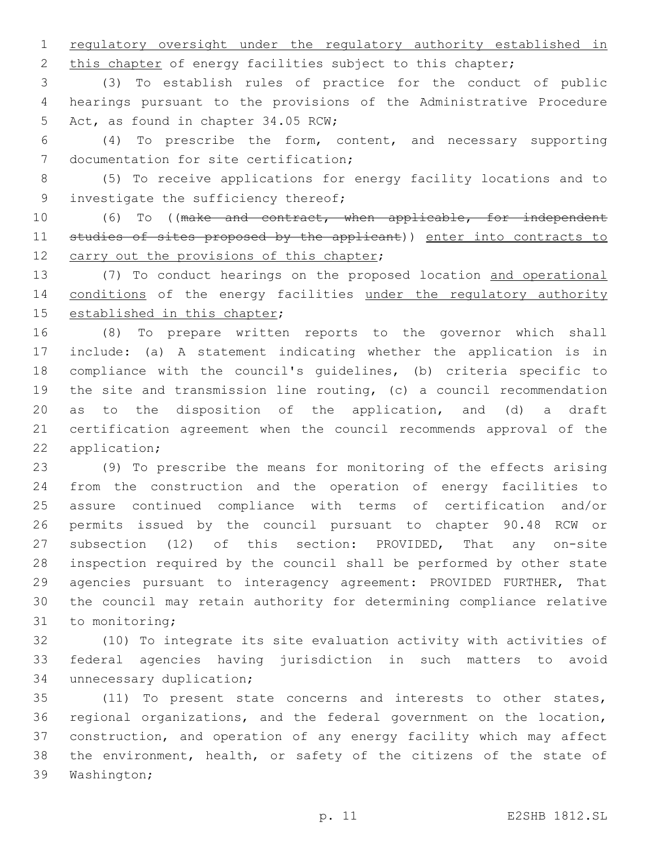regulatory oversight under the regulatory authority established in

2 this chapter of energy facilities subject to this chapter;

 (3) To establish rules of practice for the conduct of public hearings pursuant to the provisions of the Administrative Procedure 5 Act, as found in chapter 34.05 RCW;

 (4) To prescribe the form, content, and necessary supporting 7 documentation for site certification;

 (5) To receive applications for energy facility locations and to 9 investigate the sufficiency thereof;

10 (6) To ((make and contract, when applicable, for independent 11 studies of sites proposed by the applicant)) enter into contracts to 12 carry out the provisions of this chapter;

 (7) To conduct hearings on the proposed location and operational 14 conditions of the energy facilities under the regulatory authority 15 established in this chapter;

 (8) To prepare written reports to the governor which shall include: (a) A statement indicating whether the application is in compliance with the council's guidelines, (b) criteria specific to the site and transmission line routing, (c) a council recommendation as to the disposition of the application, and (d) a draft certification agreement when the council recommends approval of the 22 application;

 (9) To prescribe the means for monitoring of the effects arising from the construction and the operation of energy facilities to assure continued compliance with terms of certification and/or permits issued by the council pursuant to chapter 90.48 RCW or subsection (12) of this section: PROVIDED, That any on-site inspection required by the council shall be performed by other state agencies pursuant to interagency agreement: PROVIDED FURTHER, That the council may retain authority for determining compliance relative 31 to monitoring;

 (10) To integrate its site evaluation activity with activities of federal agencies having jurisdiction in such matters to avoid 34 unnecessary duplication;

 (11) To present state concerns and interests to other states, regional organizations, and the federal government on the location, construction, and operation of any energy facility which may affect the environment, health, or safety of the citizens of the state of 39 Washington;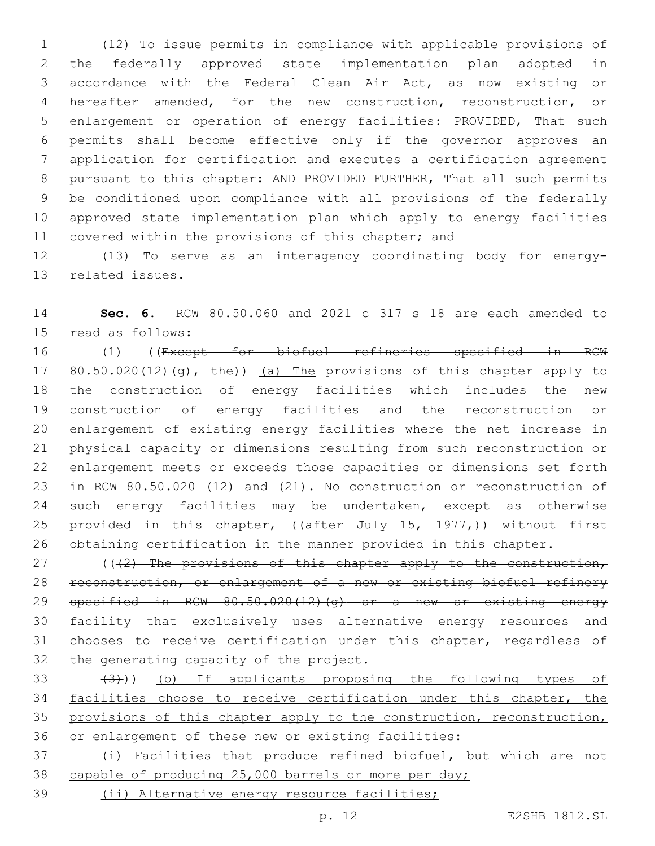(12) To issue permits in compliance with applicable provisions of the federally approved state implementation plan adopted in accordance with the Federal Clean Air Act, as now existing or hereafter amended, for the new construction, reconstruction, or enlargement or operation of energy facilities: PROVIDED, That such permits shall become effective only if the governor approves an application for certification and executes a certification agreement pursuant to this chapter: AND PROVIDED FURTHER, That all such permits be conditioned upon compliance with all provisions of the federally approved state implementation plan which apply to energy facilities covered within the provisions of this chapter; and

 (13) To serve as an interagency coordinating body for energy-13 related issues.

 **Sec. 6.** RCW 80.50.060 and 2021 c 317 s 18 are each amended to 15 read as follows:

 (1) ((Except for biofuel refineries specified in RCW 17 80.50.020(12)(g), the)) (a) The provisions of this chapter apply to the construction of energy facilities which includes the new construction of energy facilities and the reconstruction or enlargement of existing energy facilities where the net increase in physical capacity or dimensions resulting from such reconstruction or enlargement meets or exceeds those capacities or dimensions set forth in RCW 80.50.020 (12) and (21). No construction or reconstruction of such energy facilities may be undertaken, except as otherwise 25 provided in this chapter,  $((after July 15, 1977,))$  without first obtaining certification in the manner provided in this chapter.

27 ( $(42)$  The provisions of this chapter apply to the construction, reconstruction, or enlargement of a new or existing biofuel refinery specified in RCW 80.50.020(12)(g) or a new or existing energy facility that exclusively uses alternative energy resources and chooses to receive certification under this chapter, regardless of 32 the generating capacity of the project.

 $(3)$   $(3)$ ) (b) If applicants proposing the following types of 34 facilities choose to receive certification under this chapter, the 35 provisions of this chapter apply to the construction, reconstruction, or enlargement of these new or existing facilities:

 (i) Facilities that produce refined biofuel, but which are not capable of producing 25,000 barrels or more per day;

(ii) Alternative energy resource facilities;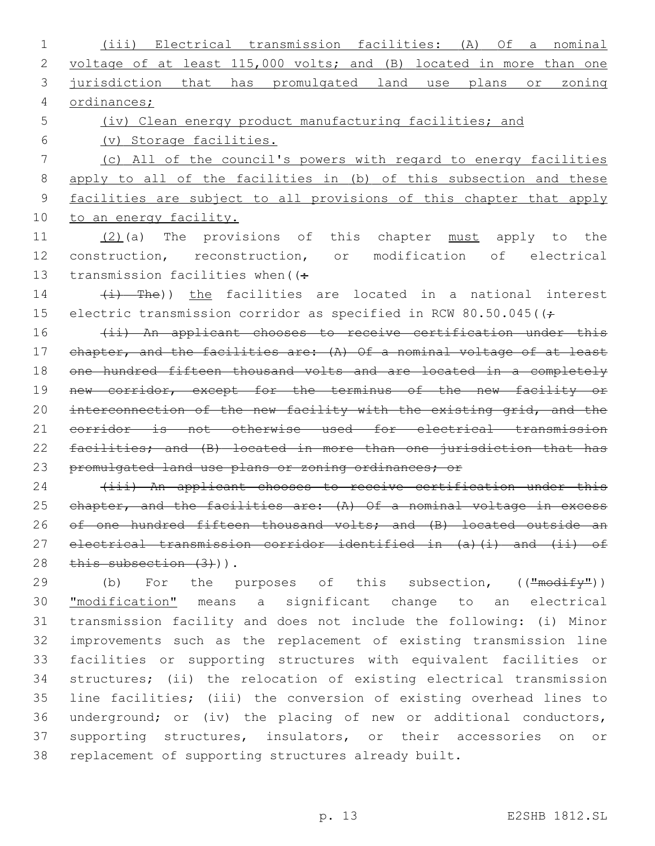(iii) Electrical transmission facilities: (A) Of a nominal voltage of at least 115,000 volts; and (B) located in more than one jurisdiction that has promulgated land use plans or zoning ordinances; (iv) Clean energy product manufacturing facilities; and (v) Storage facilities. (c) All of the council's powers with regard to energy facilities apply to all of the facilities in (b) of this subsection and these facilities are subject to all provisions of this chapter that apply 10 to an energy facility. (2)(a) The provisions of this chapter must apply to the construction, reconstruction, or modification of electrical 13 transmission facilities when  $($ :  $(i)$  The)) the facilities are located in a national interest 15 electric transmission corridor as specified in RCW 80.50.045( $($ f) 16 (ii) An applicant chooses to receive certification under this chapter, and the facilities are: (A) Of a nominal voltage of at least one hundred fifteen thousand volts and are located in a completely 19 new corridor, except for the terminus of the new facility or 20 interconnection of the new facility with the existing grid, and the corridor is not otherwise used for electrical transmission facilities; and (B) located in more than one jurisdiction that has 23 promulgated land use plans or zoning ordinances; or 24 (iii) An applicant chooses to receive certification under this 25 chapter, and the facilities are: (A) Of a nominal voltage in excess 26 of one hundred fifteen thousand volts; and (B) located outside an electrical transmission corridor identified in (a)(i) and (ii) of 28 this subsection (3))). 29 (b) For the purposes of this subsection, (("modify")) "modification" means a significant change to an electrical transmission facility and does not include the following: (i) Minor improvements such as the replacement of existing transmission line facilities or supporting structures with equivalent facilities or

p. 13 E2SHB 1812.SL

 structures; (ii) the relocation of existing electrical transmission line facilities; (iii) the conversion of existing overhead lines to underground; or (iv) the placing of new or additional conductors, supporting structures, insulators, or their accessories on or

replacement of supporting structures already built.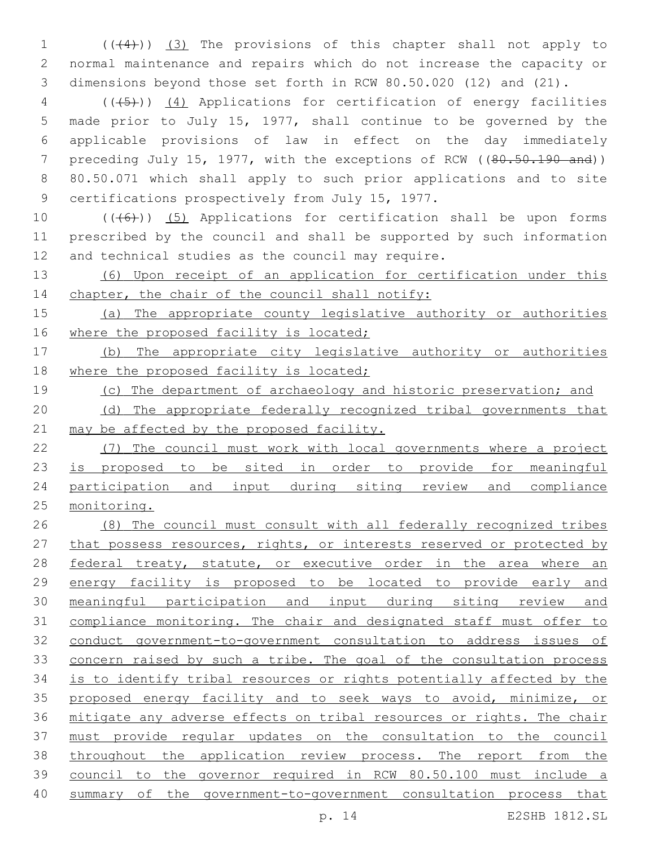(((4))) (3) The provisions of this chapter shall not apply to normal maintenance and repairs which do not increase the capacity or dimensions beyond those set forth in RCW 80.50.020 (12) and (21).

 (((5))) (4) Applications for certification of energy facilities made prior to July 15, 1977, shall continue to be governed by the applicable provisions of law in effect on the day immediately 7 preceding July 15, 1977, with the exceptions of RCW ((80.50.190 and)) 80.50.071 which shall apply to such prior applications and to site 9 certifications prospectively from July 15, 1977.

10  $((+6+))$  (5) Applications for certification shall be upon forms prescribed by the council and shall be supported by such information 12 and technical studies as the council may require.

 (6) Upon receipt of an application for certification under this 14 chapter, the chair of the council shall notify:

15 (a) The appropriate county legislative authority or authorities 16 where the proposed facility is located;

 (b) The appropriate city legislative authority or authorities 18 where the proposed facility is located;

(c) The department of archaeology and historic preservation; and

20 (d) The appropriate federally recognized tribal governments that 21 may be affected by the proposed facility.

 (7) The council must work with local governments where a project 23 is proposed to be sited in order to provide for meaningful participation and input during siting review and compliance monitoring.

 (8) The council must consult with all federally recognized tribes 27 that possess resources, rights, or interests reserved or protected by 28 federal treaty, statute, or executive order in the area where an energy facility is proposed to be located to provide early and meaningful participation and input during siting review and compliance monitoring. The chair and designated staff must offer to conduct government-to-government consultation to address issues of concern raised by such a tribe. The goal of the consultation process is to identify tribal resources or rights potentially affected by the proposed energy facility and to seek ways to avoid, minimize, or mitigate any adverse effects on tribal resources or rights. The chair must provide regular updates on the consultation to the council throughout the application review process. The report from the council to the governor required in RCW 80.50.100 must include a 40 summary of the government-to-government consultation process that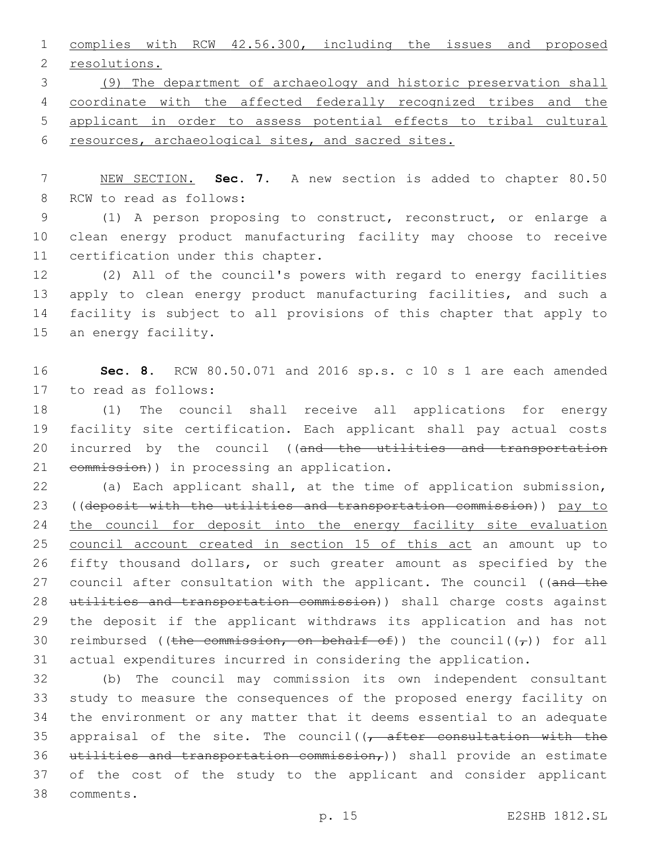1 complies with RCW 42.56.300, including the issues and proposed 2 resolutions.

 (9) The department of archaeology and historic preservation shall 4 coordinate with the affected federally recognized tribes and the applicant in order to assess potential effects to tribal cultural resources, archaeological sites, and sacred sites.

7 NEW SECTION. **Sec. 7.** A new section is added to chapter 80.50 8 RCW to read as follows:

9 (1) A person proposing to construct, reconstruct, or enlarge a 10 clean energy product manufacturing facility may choose to receive 11 certification under this chapter.

12 (2) All of the council's powers with regard to energy facilities 13 apply to clean energy product manufacturing facilities, and such a 14 facility is subject to all provisions of this chapter that apply to 15 an energy facility.

16 **Sec. 8.** RCW 80.50.071 and 2016 sp.s. c 10 s 1 are each amended 17 to read as follows:

18 (1) The council shall receive all applications for energy 19 facility site certification. Each applicant shall pay actual costs 20 incurred by the council ((and the utilities and transportation 21 eommission)) in processing an application.

22 (a) Each applicant shall, at the time of application submission, 23 ((deposit with the utilities and transportation commission)) pay to 24 the council for deposit into the energy facility site evaluation 25 council account created in section 15 of this act an amount up to 26 fifty thousand dollars, or such greater amount as specified by the 27 council after consultation with the applicant. The council ((and the 28 utilities and transportation commission)) shall charge costs against 29 the deposit if the applicant withdraws its application and has not 30 reimbursed ((the commission, on behalf of)) the council( $(\tau)$ ) for all 31 actual expenditures incurred in considering the application.

32 (b) The council may commission its own independent consultant 33 study to measure the consequences of the proposed energy facility on 34 the environment or any matter that it deems essential to an adequate 35 appraisal of the site. The council( $\sqrt{a}$  efter consultation with the 36 utilities and transportation commission,)) shall provide an estimate 37 of the cost of the study to the applicant and consider applicant comments.38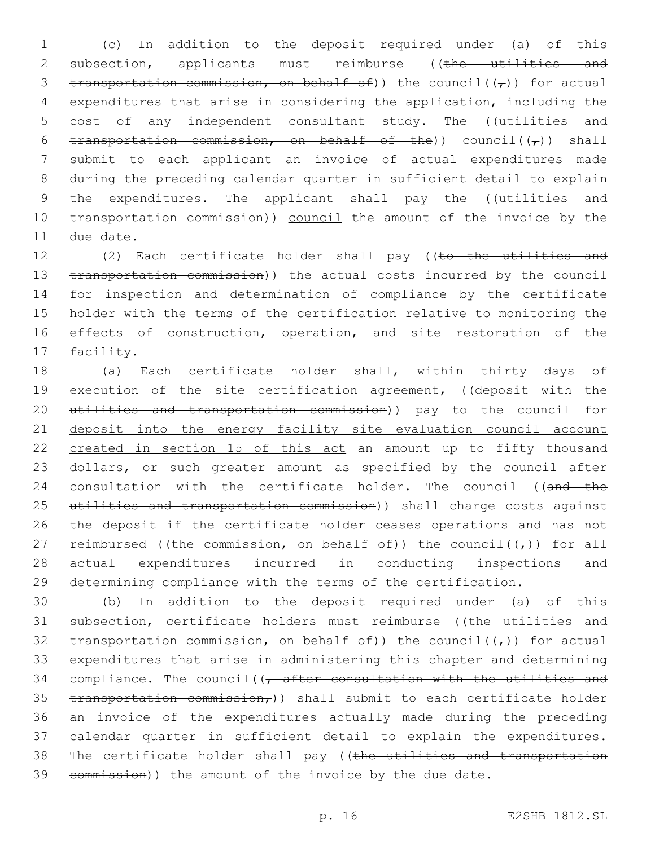1 (c) In addition to the deposit required under (a) of this 2 subsection, applicants must reimburse ((the utilities and 3 transportation commission, on behalf of)) the council( $(\tau)$ ) for actual 4 expenditures that arise in considering the application, including the 5 cost of any independent consultant study. The ((utilities and 6 transportation commission, on behalf of the)) council( $(\tau)$ ) shall 7 submit to each applicant an invoice of actual expenditures made 8 during the preceding calendar quarter in sufficient detail to explain 9 the expenditures. The applicant shall pay the ((utilities and 10 transportation commission)) council the amount of the invoice by the 11 due date.

12 (2) Each certificate holder shall pay ((to the utilities and 13 transportation commission)) the actual costs incurred by the council 14 for inspection and determination of compliance by the certificate 15 holder with the terms of the certification relative to monitoring the 16 effects of construction, operation, and site restoration of the 17 facility.

18 (a) Each certificate holder shall, within thirty days of 19 execution of the site certification agreement, ((deposit with the 20 utilities and transportation commission)) pay to the council for 21 deposit into the energy facility site evaluation council account 22 created in section 15 of this act an amount up to fifty thousand 23 dollars, or such greater amount as specified by the council after 24 consultation with the certificate holder. The council ((and the 25 utilities and transportation commission)) shall charge costs against 26 the deposit if the certificate holder ceases operations and has not 27 reimbursed ((the commission, on behalf of)) the council( $(\tau)$ ) for all 28 actual expenditures incurred in conducting inspections and 29 determining compliance with the terms of the certification.

30 (b) In addition to the deposit required under (a) of this 31 subsection, certificate holders must reimburse ((the utilities and 32 transportation commission, on behalf of)) the council( $(\tau)$ ) for actual 33 expenditures that arise in administering this chapter and determining 34 compliance. The council( $\sqrt{t}$  after consultation with the utilities and 35 transportation commission,) shall submit to each certificate holder 36 an invoice of the expenditures actually made during the preceding 37 calendar quarter in sufficient detail to explain the expenditures. 38 The certificate holder shall pay ((the utilities and transportation 39 commission)) the amount of the invoice by the due date.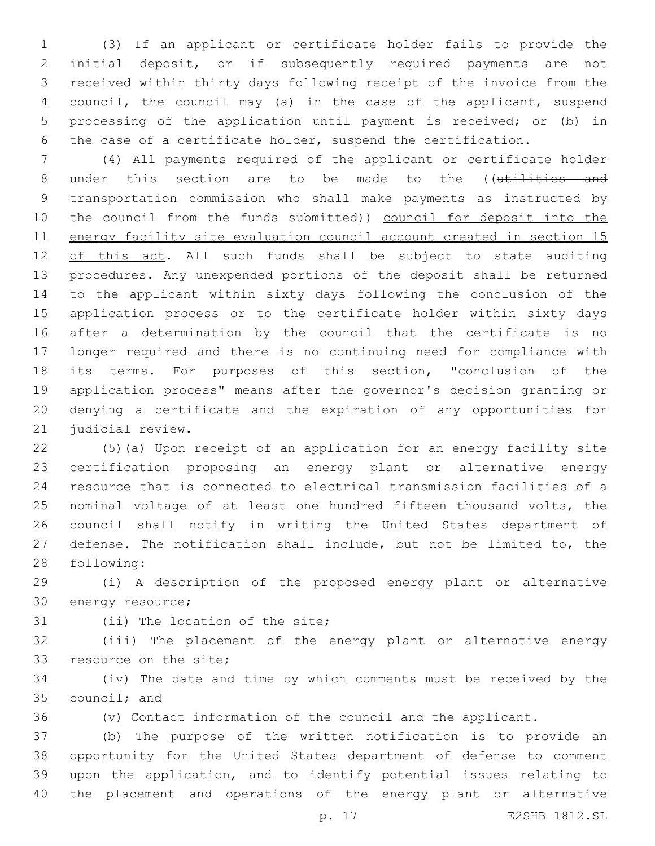(3) If an applicant or certificate holder fails to provide the initial deposit, or if subsequently required payments are not received within thirty days following receipt of the invoice from the council, the council may (a) in the case of the applicant, suspend processing of the application until payment is received; or (b) in the case of a certificate holder, suspend the certification.

 (4) All payments required of the applicant or certificate holder 8 under this section are to be made to the ((utilities and transportation commission who shall make payments as instructed by 10 the council from the funds submitted)) council for deposit into the energy facility site evaluation council account created in section 15 12 of this act. All such funds shall be subject to state auditing procedures. Any unexpended portions of the deposit shall be returned to the applicant within sixty days following the conclusion of the application process or to the certificate holder within sixty days after a determination by the council that the certificate is no longer required and there is no continuing need for compliance with its terms. For purposes of this section, "conclusion of the application process" means after the governor's decision granting or denying a certificate and the expiration of any opportunities for 21 judicial review.

 (5)(a) Upon receipt of an application for an energy facility site certification proposing an energy plant or alternative energy resource that is connected to electrical transmission facilities of a nominal voltage of at least one hundred fifteen thousand volts, the council shall notify in writing the United States department of defense. The notification shall include, but not be limited to, the 28 following:

 (i) A description of the proposed energy plant or alternative 30 energy resource;

31 (ii) The location of the site;

 (iii) The placement of the energy plant or alternative energy 33 resource on the site;

 (iv) The date and time by which comments must be received by the 35 council; and

(v) Contact information of the council and the applicant.

 (b) The purpose of the written notification is to provide an opportunity for the United States department of defense to comment upon the application, and to identify potential issues relating to the placement and operations of the energy plant or alternative

p. 17 E2SHB 1812.SL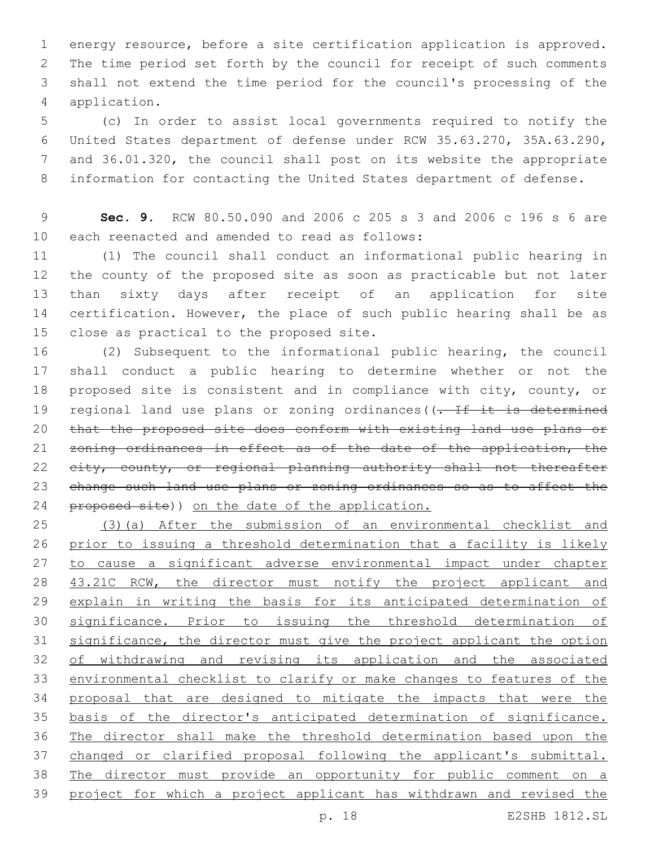energy resource, before a site certification application is approved. The time period set forth by the council for receipt of such comments shall not extend the time period for the council's processing of the application.4

 (c) In order to assist local governments required to notify the United States department of defense under RCW 35.63.270, 35A.63.290, and 36.01.320, the council shall post on its website the appropriate information for contacting the United States department of defense.

 **Sec. 9.** RCW 80.50.090 and 2006 c 205 s 3 and 2006 c 196 s 6 are 10 each reenacted and amended to read as follows:

 (1) The council shall conduct an informational public hearing in the county of the proposed site as soon as practicable but not later than sixty days after receipt of an application for site 14 certification. However, the place of such public hearing shall be as 15 close as practical to the proposed site.

 (2) Subsequent to the informational public hearing, the council shall conduct a public hearing to determine whether or not the proposed site is consistent and in compliance with city, county, or 19 regional land use plans or zoning ordinances((. If it is determined that the proposed site does conform with existing land use plans or 21 zoning ordinances in effect as of the date of the application, the 22 eity, county, or regional planning authority shall not thereafter change such land use plans or zoning ordinances so as to affect the 24 proposed site)) on the date of the application.

 (3)(a) After the submission of an environmental checklist and prior to issuing a threshold determination that a facility is likely 27 to cause a significant adverse environmental impact under chapter 28 43.21C RCW, the director must notify the project applicant and 29 explain in writing the basis for its anticipated determination of significance. Prior to issuing the threshold determination of 31 significance, the director must give the project applicant the option of withdrawing and revising its application and the associated environmental checklist to clarify or make changes to features of the proposal that are designed to mitigate the impacts that were the basis of the director's anticipated determination of significance. The director shall make the threshold determination based upon the changed or clarified proposal following the applicant's submittal. The director must provide an opportunity for public comment on a project for which a project applicant has withdrawn and revised the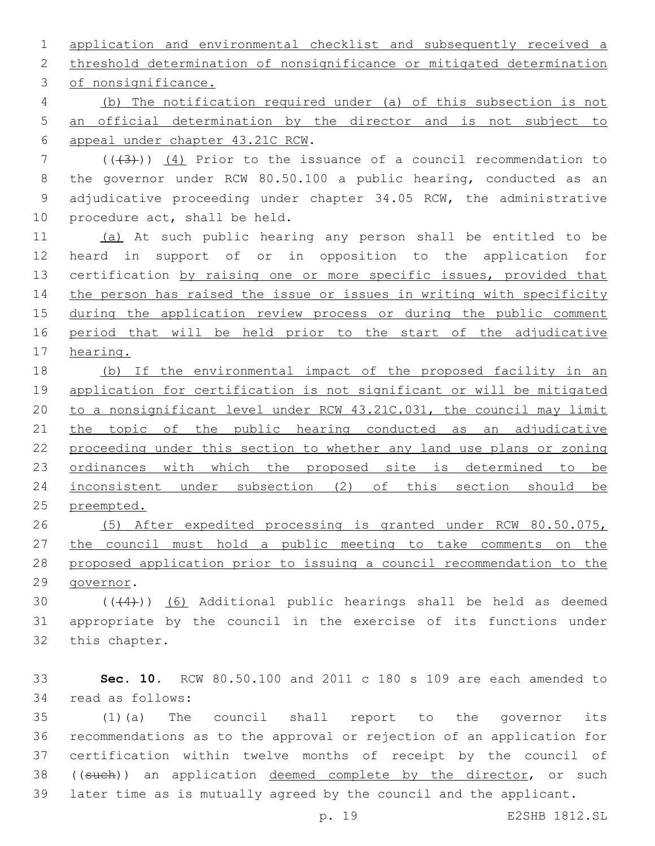application and environmental checklist and subsequently received a threshold determination of nonsignificance or mitigated determination

3 of nonsignificance.

 (b) The notification required under (a) of this subsection is not an official determination by the director and is not subject to appeal under chapter 43.21C RCW.6

 (((3))) (4) Prior to the issuance of a council recommendation to the governor under RCW 80.50.100 a public hearing, conducted as an adjudicative proceeding under chapter 34.05 RCW, the administrative 10 procedure act, shall be held.

 (a) At such public hearing any person shall be entitled to be heard in support of or in opposition to the application for 13 certification by raising one or more specific issues, provided that the person has raised the issue or issues in writing with specificity during the application review process or during the public comment period that will be held prior to the start of the adjudicative hearing.

 (b) If the environmental impact of the proposed facility in an application for certification is not significant or will be mitigated to a nonsignificant level under RCW 43.21C.031, the council may limit 21 the topic of the public hearing conducted as an adjudicative proceeding under this section to whether any land use plans or zoning ordinances with which the proposed site is determined to be inconsistent under subsection (2) of this section should be preempted.

 (5) After expedited processing is granted under RCW 80.50.075, the council must hold a public meeting to take comments on the proposed application prior to issuing a council recommendation to the 29 qovernor.

30  $((+4))$   $(6)$  Additional public hearings shall be held as deemed appropriate by the council in the exercise of its functions under 32 this chapter.

 **Sec. 10.** RCW 80.50.100 and 2011 c 180 s 109 are each amended to read as follows:34

 (1)(a) The council shall report to the governor its recommendations as to the approval or rejection of an application for certification within twelve months of receipt by the council of 38 ((such)) an application deemed complete by the director, or such later time as is mutually agreed by the council and the applicant.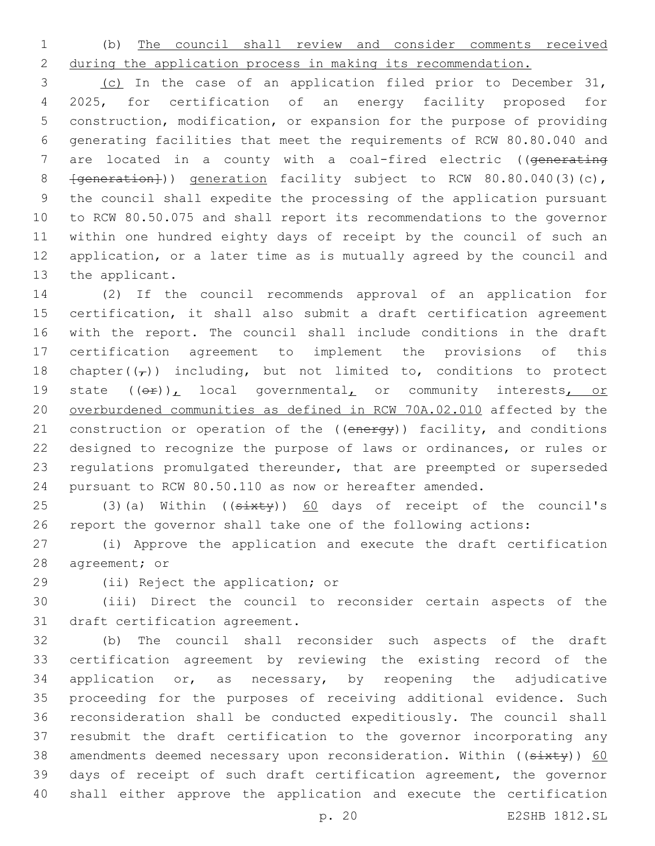(b) The council shall review and consider comments received during the application process in making its recommendation.

 (c) In the case of an application filed prior to December 31, 2025, for certification of an energy facility proposed for construction, modification, or expansion for the purpose of providing generating facilities that meet the requirements of RCW 80.80.040 and 7 are located in a county with a coal-fired electric ((generating 8 <del>[generation]</del>)) generation facility subject to RCW 80.80.040(3)(c), the council shall expedite the processing of the application pursuant to RCW 80.50.075 and shall report its recommendations to the governor within one hundred eighty days of receipt by the council of such an application, or a later time as is mutually agreed by the council and 13 the applicant.

 (2) If the council recommends approval of an application for certification, it shall also submit a draft certification agreement with the report. The council shall include conditions in the draft certification agreement to implement the provisions of this 18 chapter( $(\tau)$ ) including, but not limited to, conditions to protect 19 state  $((\theta \hat{r}))_L$  local governmental<sub>L</sub> or community interests, or overburdened communities as defined in RCW 70A.02.010 affected by the 21 construction or operation of the ((energy)) facility, and conditions designed to recognize the purpose of laws or ordinances, or rules or regulations promulgated thereunder, that are preempted or superseded pursuant to RCW 80.50.110 as now or hereafter amended.

25 (3)(a) Within ((sixty)) 60 days of receipt of the council's report the governor shall take one of the following actions:

 (i) Approve the application and execute the draft certification 28 agreement; or

29 (ii) Reject the application; or

 (iii) Direct the council to reconsider certain aspects of the 31 draft certification agreement.

 (b) The council shall reconsider such aspects of the draft certification agreement by reviewing the existing record of the application or, as necessary, by reopening the adjudicative proceeding for the purposes of receiving additional evidence. Such reconsideration shall be conducted expeditiously. The council shall resubmit the draft certification to the governor incorporating any 38 amendments deemed necessary upon reconsideration. Within ((sixty)) 60 days of receipt of such draft certification agreement, the governor shall either approve the application and execute the certification

p. 20 E2SHB 1812.SL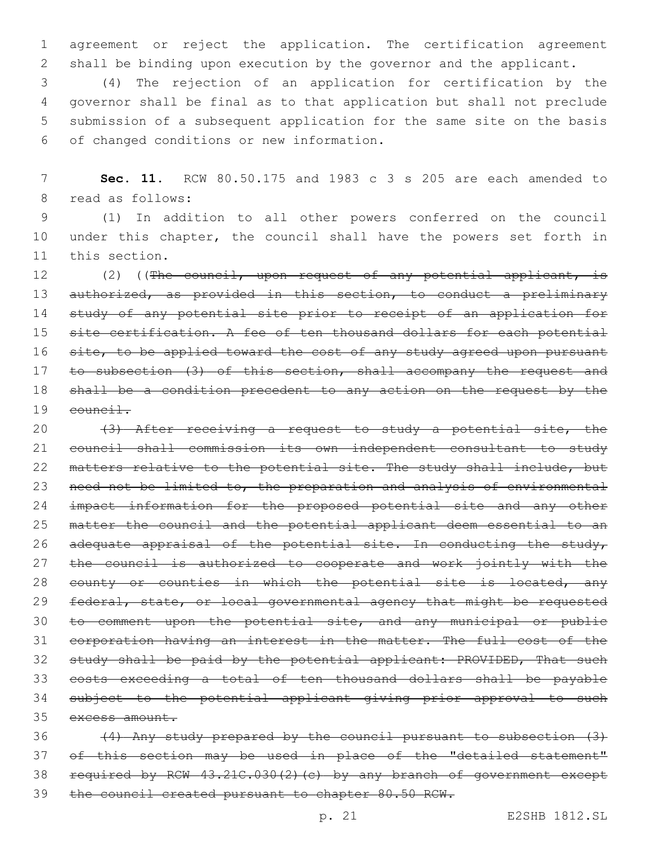1 agreement or reject the application. The certification agreement 2 shall be binding upon execution by the governor and the applicant.

 (4) The rejection of an application for certification by the governor shall be final as to that application but shall not preclude submission of a subsequent application for the same site on the basis of changed conditions or new information.6

7 **Sec. 11.** RCW 80.50.175 and 1983 c 3 s 205 are each amended to 8 read as follows:

9 (1) In addition to all other powers conferred on the council 10 under this chapter, the council shall have the powers set forth in 11 this section.

12 (2) ((The council, upon request of any potential applicant, is 13 authorized, as provided in this section, to conduct a preliminary 14 study of any potential site prior to receipt of an application for 15 site certification. A fee of ten thousand dollars for each potential 16 site, to be applied toward the cost of any study agreed upon pursuant 17 to subsection (3) of this section, shall accompany the request and 18 shall be a condition precedent to any action on the request by the 19 council.

20 (3) After receiving a request to study a potential site, the 21 council shall commission its own independent consultant to study 22 matters relative to the potential site. The study shall include, but 23 need not be limited to, the preparation and analysis of environmental 24 impact information for the proposed potential site and any other 25 matter the council and the potential applicant deem essential to an 26 adequate appraisal of the potential site. In conducting the study, 27 the council is authorized to cooperate and work jointly with the 28 county or counties in which the potential site is located, any 29 federal, state, or local governmental agency that might be requested 30 to comment upon the potential site, and any municipal or public 31 corporation having an interest in the matter. The full cost of the 32 study shall be paid by the potential applicant: PROVIDED, That such 33 costs exceeding a total of ten thousand dollars shall be payable 34 subject to the potential applicant giving prior approval to such 35 excess amount.

 (4) Any study prepared by the council pursuant to subsection (3) 37 of this section may be used in place of the "detailed statement" required by RCW 43.21C.030(2)(c) by any branch of government except the council created pursuant to chapter 80.50 RCW.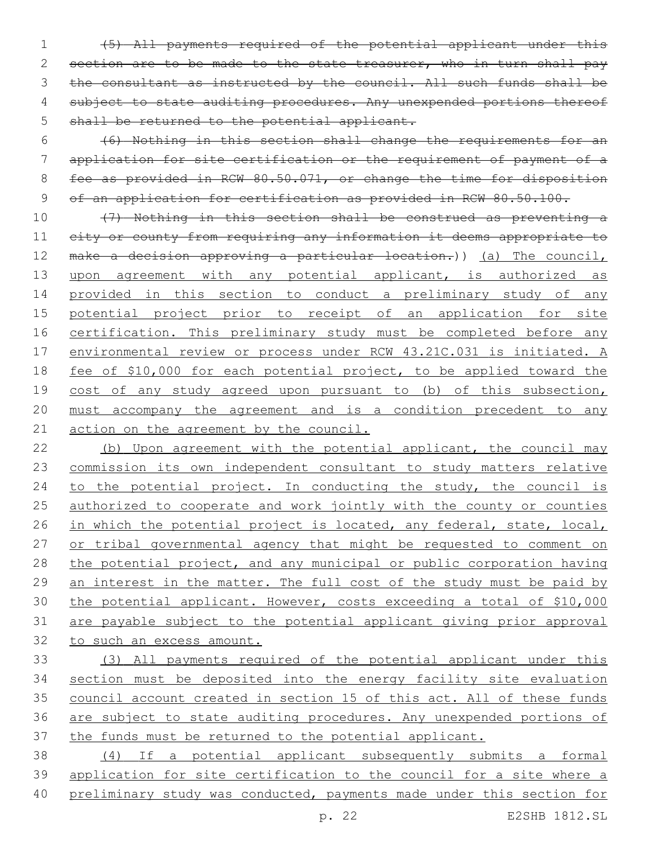(5) All payments required of the potential applicant under this 2 section are to be made to the state treasurer, who in turn shall pay the consultant as instructed by the council. All such funds shall be 4 subject to state auditing procedures. Any unexpended portions thereof 5 shall be returned to the potential applicant.

 (6) Nothing in this section shall change the requirements for an application for site certification or the requirement of payment of a 8 fee as provided in RCW 80.50.071, or change the time for disposition of an application for certification as provided in RCW 80.50.100.

 (7) Nothing in this section shall be construed as preventing a 11 eity or county from requiring any information it deems appropriate to make a decision approving a particular location.)) (a) The council, upon agreement with any potential applicant, is authorized as 14 provided in this section to conduct a preliminary study of any potential project prior to receipt of an application for site 16 certification. This preliminary study must be completed before any environmental review or process under RCW 43.21C.031 is initiated. A 18 fee of \$10,000 for each potential project, to be applied toward the 19 cost of any study agreed upon pursuant to (b) of this subsection, must accompany the agreement and is a condition precedent to any 21 action on the agreement by the council.

22 (b) Upon agreement with the potential applicant, the council may commission its own independent consultant to study matters relative 24 to the potential project. In conducting the study, the council is 25 authorized to cooperate and work jointly with the county or counties 26 in which the potential project is located, any federal, state, local, 27 or tribal governmental agency that might be requested to comment on the potential project, and any municipal or public corporation having an interest in the matter. The full cost of the study must be paid by the potential applicant. However, costs exceeding a total of \$10,000 are payable subject to the potential applicant giving prior approval to such an excess amount.

 (3) All payments required of the potential applicant under this section must be deposited into the energy facility site evaluation council account created in section 15 of this act. All of these funds are subject to state auditing procedures. Any unexpended portions of the funds must be returned to the potential applicant.

 (4) If a potential applicant subsequently submits a formal application for site certification to the council for a site where a preliminary study was conducted, payments made under this section for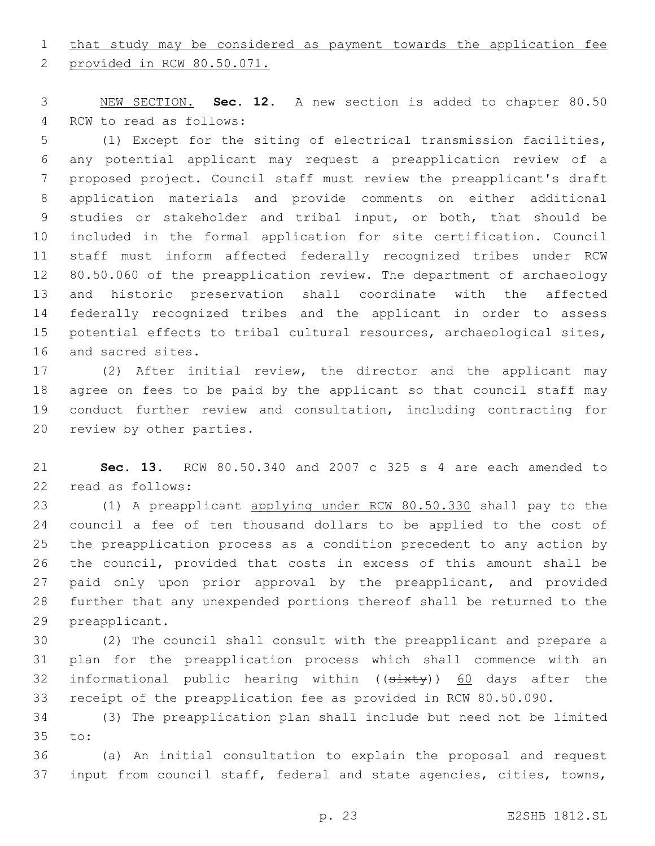## 1 that study may be considered as payment towards the application fee

2 provided in RCW 80.50.071.

 NEW SECTION. **Sec. 12.** A new section is added to chapter 80.50 4 RCW to read as follows:

 (1) Except for the siting of electrical transmission facilities, any potential applicant may request a preapplication review of a proposed project. Council staff must review the preapplicant's draft application materials and provide comments on either additional studies or stakeholder and tribal input, or both, that should be included in the formal application for site certification. Council staff must inform affected federally recognized tribes under RCW 80.50.060 of the preapplication review. The department of archaeology and historic preservation shall coordinate with the affected federally recognized tribes and the applicant in order to assess potential effects to tribal cultural resources, archaeological sites, 16 and sacred sites.

 (2) After initial review, the director and the applicant may agree on fees to be paid by the applicant so that council staff may conduct further review and consultation, including contracting for 20 review by other parties.

 **Sec. 13.** RCW 80.50.340 and 2007 c 325 s 4 are each amended to 22 read as follows:

 (1) A preapplicant applying under RCW 80.50.330 shall pay to the council a fee of ten thousand dollars to be applied to the cost of the preapplication process as a condition precedent to any action by the council, provided that costs in excess of this amount shall be paid only upon prior approval by the preapplicant, and provided further that any unexpended portions thereof shall be returned to the 29 preapplicant.

 (2) The council shall consult with the preapplicant and prepare a plan for the preapplication process which shall commence with an 32 informational public hearing within ((sixty)) 60 days after the receipt of the preapplication fee as provided in RCW 80.50.090.

 (3) The preapplication plan shall include but need not be limited 35 to:

 (a) An initial consultation to explain the proposal and request input from council staff, federal and state agencies, cities, towns,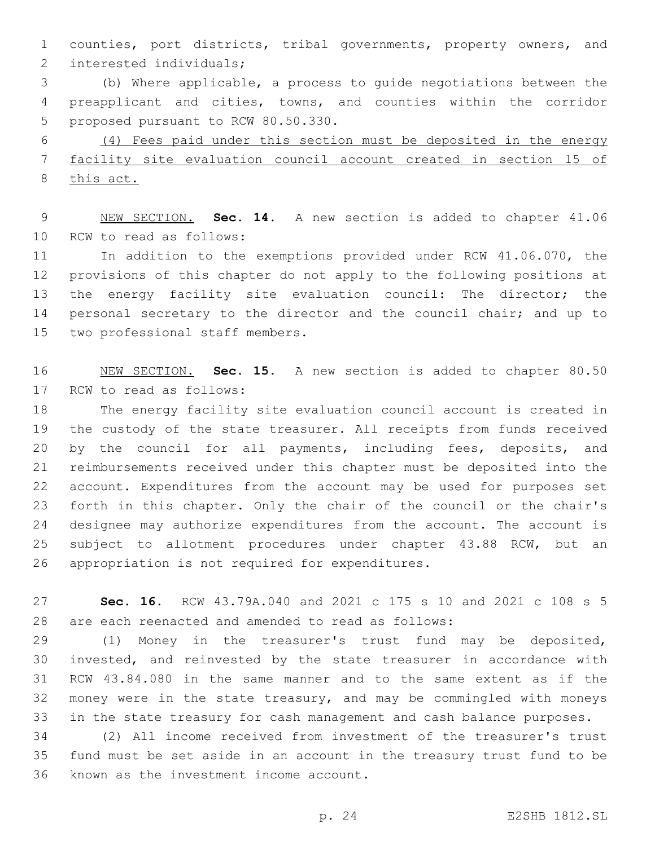counties, port districts, tribal governments, property owners, and 2 interested individuals;

 (b) Where applicable, a process to guide negotiations between the preapplicant and cities, towns, and counties within the corridor 5 proposed pursuant to RCW 80.50.330.

 (4) Fees paid under this section must be deposited in the energy facility site evaluation council account created in section 15 of this act.

 NEW SECTION. **Sec. 14.** A new section is added to chapter 41.06 10 RCW to read as follows:

 In addition to the exemptions provided under RCW 41.06.070, the provisions of this chapter do not apply to the following positions at the energy facility site evaluation council: The director; the 14 personal secretary to the director and the council chair; and up to 15 two professional staff members.

 NEW SECTION. **Sec. 15.** A new section is added to chapter 80.50 17 RCW to read as follows:

 The energy facility site evaluation council account is created in the custody of the state treasurer. All receipts from funds received by the council for all payments, including fees, deposits, and reimbursements received under this chapter must be deposited into the account. Expenditures from the account may be used for purposes set forth in this chapter. Only the chair of the council or the chair's designee may authorize expenditures from the account. The account is subject to allotment procedures under chapter 43.88 RCW, but an 26 appropriation is not required for expenditures.

 **Sec. 16.** RCW 43.79A.040 and 2021 c 175 s 10 and 2021 c 108 s 5 are each reenacted and amended to read as follows:

 (1) Money in the treasurer's trust fund may be deposited, invested, and reinvested by the state treasurer in accordance with RCW 43.84.080 in the same manner and to the same extent as if the money were in the state treasury, and may be commingled with moneys in the state treasury for cash management and cash balance purposes.

 (2) All income received from investment of the treasurer's trust fund must be set aside in an account in the treasury trust fund to be 36 known as the investment income account.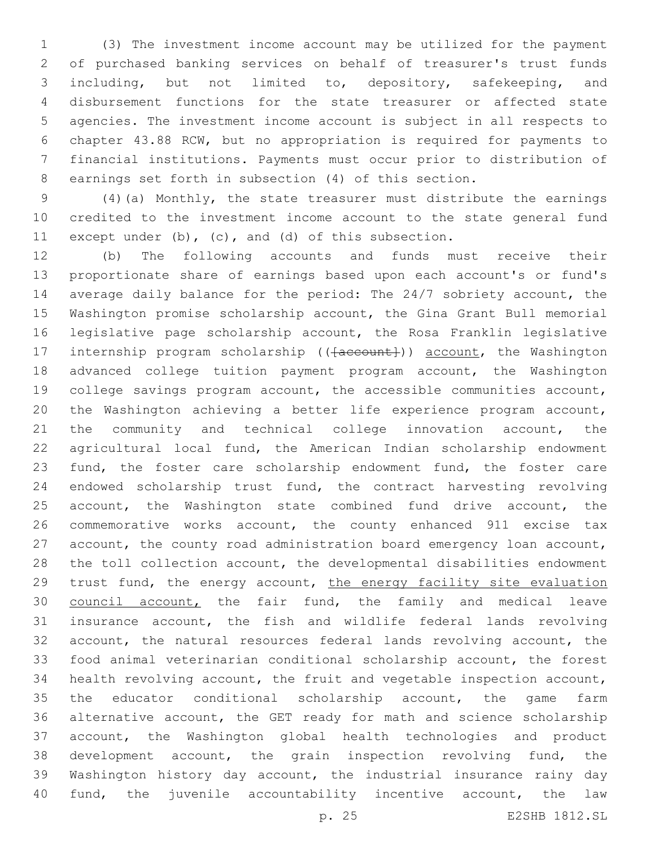(3) The investment income account may be utilized for the payment of purchased banking services on behalf of treasurer's trust funds including, but not limited to, depository, safekeeping, and disbursement functions for the state treasurer or affected state agencies. The investment income account is subject in all respects to chapter 43.88 RCW, but no appropriation is required for payments to financial institutions. Payments must occur prior to distribution of earnings set forth in subsection (4) of this section.

 (4)(a) Monthly, the state treasurer must distribute the earnings credited to the investment income account to the state general fund except under (b), (c), and (d) of this subsection.

 (b) The following accounts and funds must receive their proportionate share of earnings based upon each account's or fund's average daily balance for the period: The 24/7 sobriety account, the Washington promise scholarship account, the Gina Grant Bull memorial legislative page scholarship account, the Rosa Franklin legislative 17 internship program scholarship (( $\{a$ ccount)) account, the Washington advanced college tuition payment program account, the Washington college savings program account, the accessible communities account, the Washington achieving a better life experience program account, 21 the community and technical college innovation account, the agricultural local fund, the American Indian scholarship endowment fund, the foster care scholarship endowment fund, the foster care endowed scholarship trust fund, the contract harvesting revolving 25 account, the Washington state combined fund drive account, the commemorative works account, the county enhanced 911 excise tax account, the county road administration board emergency loan account, the toll collection account, the developmental disabilities endowment trust fund, the energy account, the energy facility site evaluation 30 council account, the fair fund, the family and medical leave insurance account, the fish and wildlife federal lands revolving account, the natural resources federal lands revolving account, the food animal veterinarian conditional scholarship account, the forest health revolving account, the fruit and vegetable inspection account, the educator conditional scholarship account, the game farm alternative account, the GET ready for math and science scholarship account, the Washington global health technologies and product development account, the grain inspection revolving fund, the Washington history day account, the industrial insurance rainy day fund, the juvenile accountability incentive account, the law

p. 25 E2SHB 1812.SL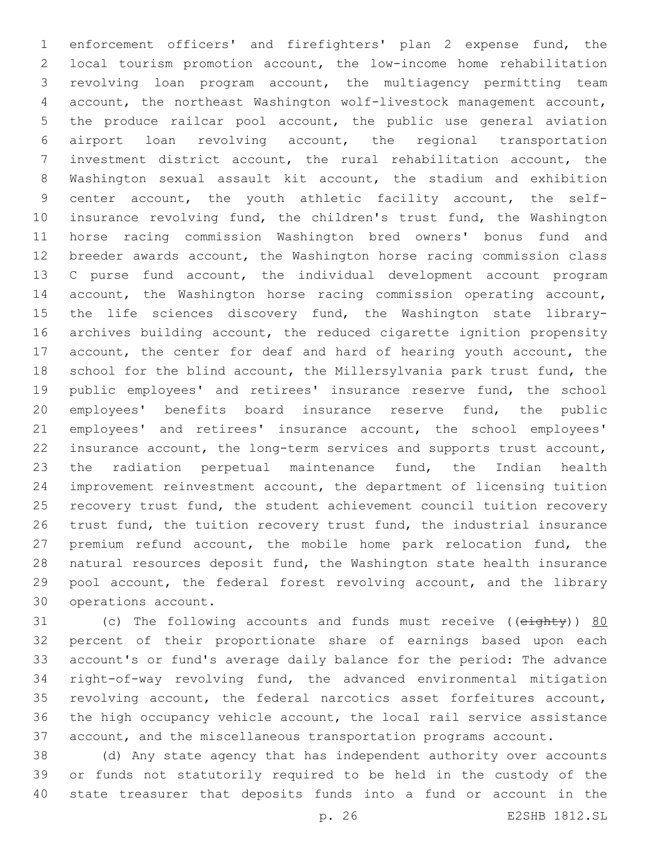enforcement officers' and firefighters' plan 2 expense fund, the local tourism promotion account, the low-income home rehabilitation revolving loan program account, the multiagency permitting team account, the northeast Washington wolf-livestock management account, the produce railcar pool account, the public use general aviation airport loan revolving account, the regional transportation investment district account, the rural rehabilitation account, the Washington sexual assault kit account, the stadium and exhibition center account, the youth athletic facility account, the self- insurance revolving fund, the children's trust fund, the Washington horse racing commission Washington bred owners' bonus fund and breeder awards account, the Washington horse racing commission class C purse fund account, the individual development account program account, the Washington horse racing commission operating account, 15 the life sciences discovery fund, the Washington state library- archives building account, the reduced cigarette ignition propensity 17 account, the center for deaf and hard of hearing youth account, the school for the blind account, the Millersylvania park trust fund, the public employees' and retirees' insurance reserve fund, the school employees' benefits board insurance reserve fund, the public employees' and retirees' insurance account, the school employees' insurance account, the long-term services and supports trust account, the radiation perpetual maintenance fund, the Indian health improvement reinvestment account, the department of licensing tuition recovery trust fund, the student achievement council tuition recovery trust fund, the tuition recovery trust fund, the industrial insurance premium refund account, the mobile home park relocation fund, the natural resources deposit fund, the Washington state health insurance pool account, the federal forest revolving account, and the library 30 operations account.

31 (c) The following accounts and funds must receive ((eighty)) 80 percent of their proportionate share of earnings based upon each account's or fund's average daily balance for the period: The advance right-of-way revolving fund, the advanced environmental mitigation revolving account, the federal narcotics asset forfeitures account, the high occupancy vehicle account, the local rail service assistance account, and the miscellaneous transportation programs account.

 (d) Any state agency that has independent authority over accounts or funds not statutorily required to be held in the custody of the state treasurer that deposits funds into a fund or account in the

p. 26 E2SHB 1812.SL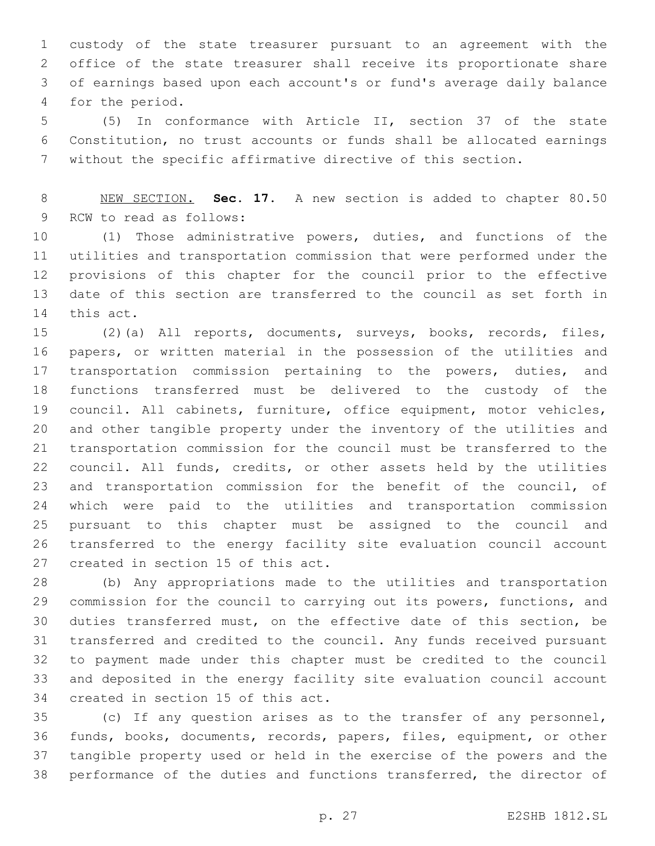custody of the state treasurer pursuant to an agreement with the office of the state treasurer shall receive its proportionate share of earnings based upon each account's or fund's average daily balance 4 for the period.

 (5) In conformance with Article II, section 37 of the state Constitution, no trust accounts or funds shall be allocated earnings without the specific affirmative directive of this section.

 NEW SECTION. **Sec. 17.** A new section is added to chapter 80.50 9 RCW to read as follows:

 (1) Those administrative powers, duties, and functions of the utilities and transportation commission that were performed under the provisions of this chapter for the council prior to the effective date of this section are transferred to the council as set forth in 14 this act.

 (2)(a) All reports, documents, surveys, books, records, files, papers, or written material in the possession of the utilities and transportation commission pertaining to the powers, duties, and functions transferred must be delivered to the custody of the council. All cabinets, furniture, office equipment, motor vehicles, and other tangible property under the inventory of the utilities and transportation commission for the council must be transferred to the council. All funds, credits, or other assets held by the utilities and transportation commission for the benefit of the council, of which were paid to the utilities and transportation commission pursuant to this chapter must be assigned to the council and transferred to the energy facility site evaluation council account 27 created in section 15 of this act.

 (b) Any appropriations made to the utilities and transportation commission for the council to carrying out its powers, functions, and duties transferred must, on the effective date of this section, be transferred and credited to the council. Any funds received pursuant to payment made under this chapter must be credited to the council and deposited in the energy facility site evaluation council account 34 created in section 15 of this act.

 (c) If any question arises as to the transfer of any personnel, funds, books, documents, records, papers, files, equipment, or other tangible property used or held in the exercise of the powers and the performance of the duties and functions transferred, the director of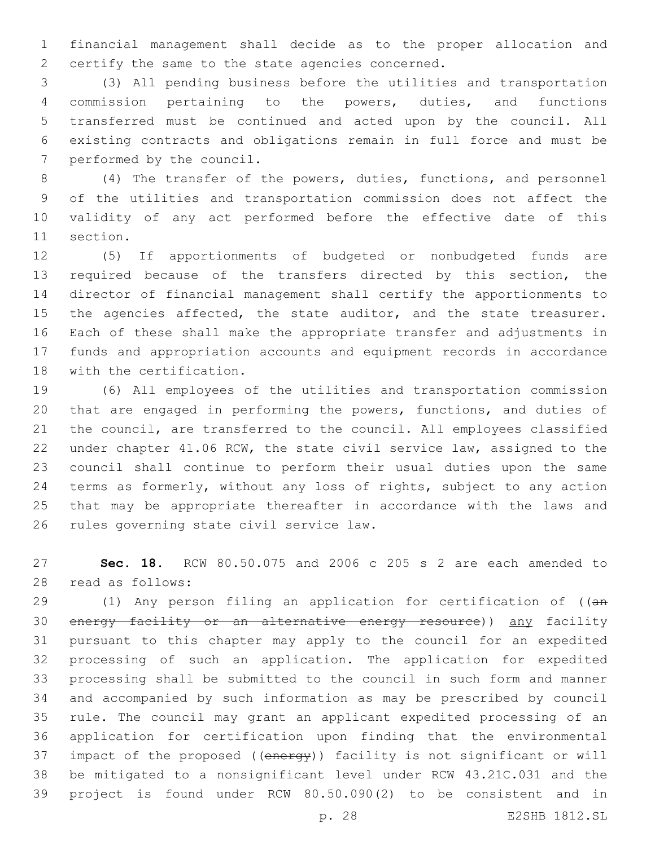financial management shall decide as to the proper allocation and 2 certify the same to the state agencies concerned.

 (3) All pending business before the utilities and transportation commission pertaining to the powers, duties, and functions transferred must be continued and acted upon by the council. All existing contracts and obligations remain in full force and must be 7 performed by the council.

 (4) The transfer of the powers, duties, functions, and personnel of the utilities and transportation commission does not affect the validity of any act performed before the effective date of this 11 section.

 (5) If apportionments of budgeted or nonbudgeted funds are required because of the transfers directed by this section, the director of financial management shall certify the apportionments to 15 the agencies affected, the state auditor, and the state treasurer. Each of these shall make the appropriate transfer and adjustments in funds and appropriation accounts and equipment records in accordance 18 with the certification.

 (6) All employees of the utilities and transportation commission that are engaged in performing the powers, functions, and duties of the council, are transferred to the council. All employees classified under chapter 41.06 RCW, the state civil service law, assigned to the council shall continue to perform their usual duties upon the same terms as formerly, without any loss of rights, subject to any action that may be appropriate thereafter in accordance with the laws and 26 rules governing state civil service law.

 **Sec. 18.** RCW 80.50.075 and 2006 c 205 s 2 are each amended to read as follows:28

29 (1) Any person filing an application for certification of ((an 30 energy facility or an alternative energy resource)) any facility pursuant to this chapter may apply to the council for an expedited processing of such an application. The application for expedited processing shall be submitted to the council in such form and manner and accompanied by such information as may be prescribed by council rule. The council may grant an applicant expedited processing of an application for certification upon finding that the environmental 37 impact of the proposed ((energy)) facility is not significant or will be mitigated to a nonsignificant level under RCW 43.21C.031 and the project is found under RCW 80.50.090(2) to be consistent and in

p. 28 E2SHB 1812.SL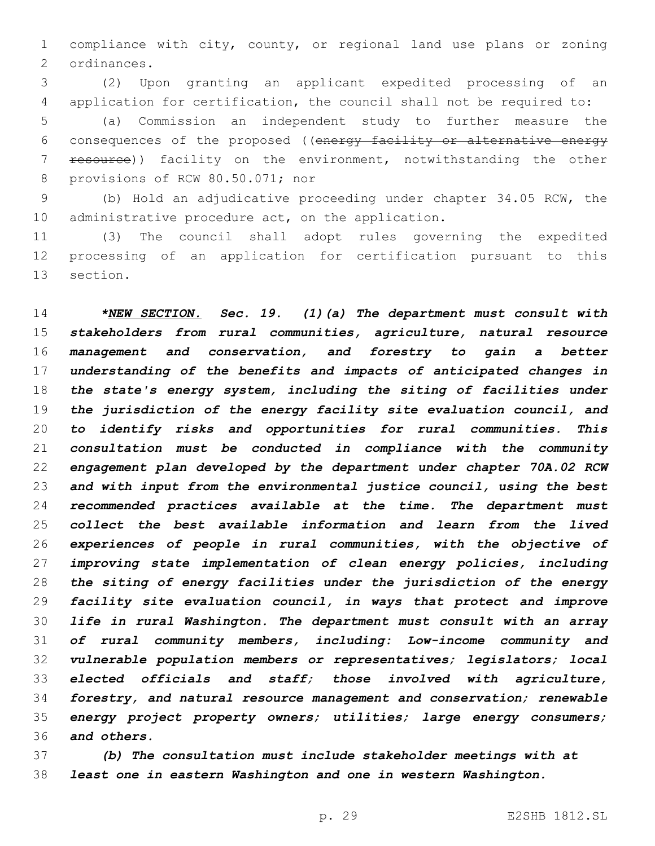compliance with city, county, or regional land use plans or zoning 2 ordinances.

 (2) Upon granting an applicant expedited processing of an application for certification, the council shall not be required to:

 (a) Commission an independent study to further measure the consequences of the proposed ((energy facility or alternative energy 7 resource)) facility on the environment, notwithstanding the other 8 provisions of RCW 80.50.071; nor

 (b) Hold an adjudicative proceeding under chapter 34.05 RCW, the 10 administrative procedure  $act$ , on the application.

 (3) The council shall adopt rules governing the expedited processing of an application for certification pursuant to this 13 section.

 *\*NEW SECTION. Sec. 19. (1)(a) The department must consult with stakeholders from rural communities, agriculture, natural resource management and conservation, and forestry to gain a better understanding of the benefits and impacts of anticipated changes in the state's energy system, including the siting of facilities under the jurisdiction of the energy facility site evaluation council, and to identify risks and opportunities for rural communities. This consultation must be conducted in compliance with the community engagement plan developed by the department under chapter 70A.02 RCW and with input from the environmental justice council, using the best recommended practices available at the time. The department must collect the best available information and learn from the lived experiences of people in rural communities, with the objective of improving state implementation of clean energy policies, including the siting of energy facilities under the jurisdiction of the energy facility site evaluation council, in ways that protect and improve life in rural Washington. The department must consult with an array of rural community members, including: Low-income community and vulnerable population members or representatives; legislators; local elected officials and staff; those involved with agriculture, forestry, and natural resource management and conservation; renewable energy project property owners; utilities; large energy consumers; and others.*

 *(b) The consultation must include stakeholder meetings with at least one in eastern Washington and one in western Washington.*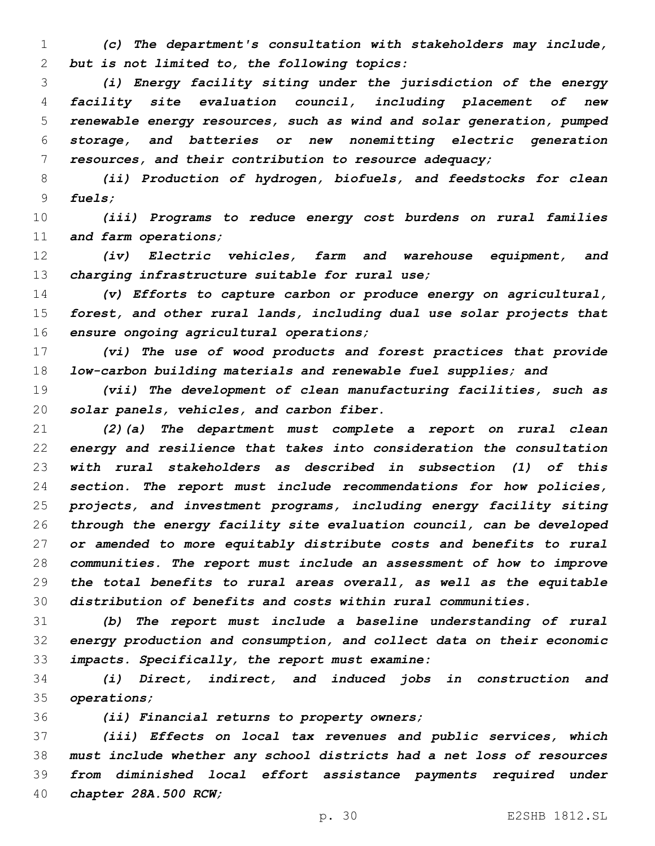*(c) The department's consultation with stakeholders may include, but is not limited to, the following topics:*

 *(i) Energy facility siting under the jurisdiction of the energy facility site evaluation council, including placement of new renewable energy resources, such as wind and solar generation, pumped storage, and batteries or new nonemitting electric generation resources, and their contribution to resource adequacy;*

 *(ii) Production of hydrogen, biofuels, and feedstocks for clean fuels;*

 *(iii) Programs to reduce energy cost burdens on rural families and farm operations;*

 *(iv) Electric vehicles, farm and warehouse equipment, and charging infrastructure suitable for rural use;*

 *(v) Efforts to capture carbon or produce energy on agricultural, forest, and other rural lands, including dual use solar projects that ensure ongoing agricultural operations;*

 *(vi) The use of wood products and forest practices that provide low-carbon building materials and renewable fuel supplies; and*

 *(vii) The development of clean manufacturing facilities, such as solar panels, vehicles, and carbon fiber.*

 *(2)(a) The department must complete a report on rural clean energy and resilience that takes into consideration the consultation with rural stakeholders as described in subsection (1) of this section. The report must include recommendations for how policies, projects, and investment programs, including energy facility siting through the energy facility site evaluation council, can be developed or amended to more equitably distribute costs and benefits to rural communities. The report must include an assessment of how to improve the total benefits to rural areas overall, as well as the equitable distribution of benefits and costs within rural communities.*

 *(b) The report must include a baseline understanding of rural energy production and consumption, and collect data on their economic impacts. Specifically, the report must examine:*

 *(i) Direct, indirect, and induced jobs in construction and operations;*

*(ii) Financial returns to property owners;*

 *(iii) Effects on local tax revenues and public services, which must include whether any school districts had a net loss of resources from diminished local effort assistance payments required under chapter 28A.500 RCW;*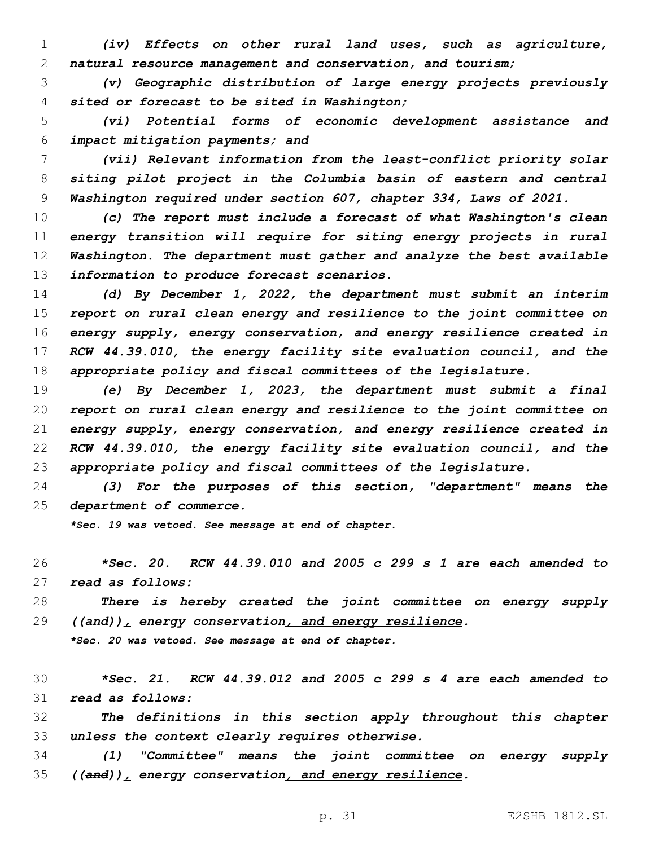*(iv) Effects on other rural land uses, such as agriculture, natural resource management and conservation, and tourism;*

 *(v) Geographic distribution of large energy projects previously sited or forecast to be sited in Washington;*

 *(vi) Potential forms of economic development assistance and impact mitigation payments; and*

 *(vii) Relevant information from the least-conflict priority solar siting pilot project in the Columbia basin of eastern and central Washington required under section 607, chapter 334, Laws of 2021.*

 *(c) The report must include a forecast of what Washington's clean energy transition will require for siting energy projects in rural Washington. The department must gather and analyze the best available information to produce forecast scenarios.*

 *(d) By December 1, 2022, the department must submit an interim report on rural clean energy and resilience to the joint committee on energy supply, energy conservation, and energy resilience created in RCW 44.39.010, the energy facility site evaluation council, and the appropriate policy and fiscal committees of the legislature.*

 *(e) By December 1, 2023, the department must submit a final report on rural clean energy and resilience to the joint committee on energy supply, energy conservation, and energy resilience created in RCW 44.39.010, the energy facility site evaluation council, and the appropriate policy and fiscal committees of the legislature.*

 *(3) For the purposes of this section, "department" means the department of commerce.*

*\*Sec. 19 was vetoed. See message at end of chapter.*

 *\*Sec. 20. RCW 44.39.010 and 2005 c 299 s 1 are each amended to read as follows:*

 *There is hereby created the joint committee on energy supply ((and)), energy conservation, and energy resilience.*

*\*Sec. 20 was vetoed. See message at end of chapter.*

 *\*Sec. 21. RCW 44.39.012 and 2005 c 299 s 4 are each amended to read as follows:*

 *The definitions in this section apply throughout this chapter unless the context clearly requires otherwise.*

 *(1) "Committee" means the joint committee on energy supply ((and)), energy conservation, and energy resilience.*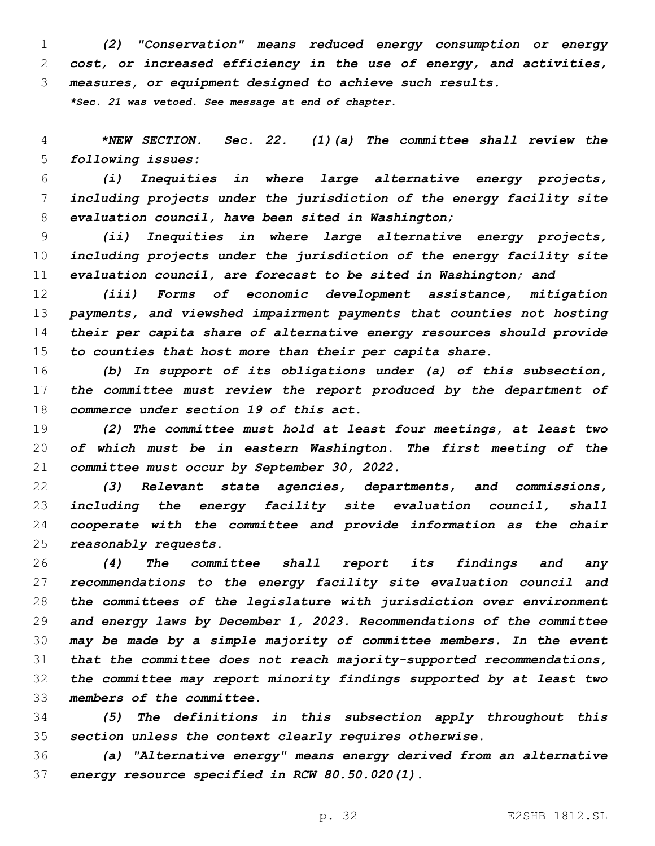*(2) "Conservation" means reduced energy consumption or energy cost, or increased efficiency in the use of energy, and activities, measures, or equipment designed to achieve such results.*

*\*Sec. 21 was vetoed. See message at end of chapter.*

 *\*NEW SECTION. Sec. 22. (1)(a) The committee shall review the following issues:*

 *(i) Inequities in where large alternative energy projects, including projects under the jurisdiction of the energy facility site evaluation council, have been sited in Washington;*

 *(ii) Inequities in where large alternative energy projects, including projects under the jurisdiction of the energy facility site evaluation council, are forecast to be sited in Washington; and*

 *(iii) Forms of economic development assistance, mitigation payments, and viewshed impairment payments that counties not hosting their per capita share of alternative energy resources should provide to counties that host more than their per capita share.*

 *(b) In support of its obligations under (a) of this subsection, the committee must review the report produced by the department of commerce under section 19 of this act.*

 *(2) The committee must hold at least four meetings, at least two of which must be in eastern Washington. The first meeting of the committee must occur by September 30, 2022.*

 *(3) Relevant state agencies, departments, and commissions, including the energy facility site evaluation council, shall cooperate with the committee and provide information as the chair reasonably requests.*

 *(4) The committee shall report its findings and any recommendations to the energy facility site evaluation council and the committees of the legislature with jurisdiction over environment and energy laws by December 1, 2023. Recommendations of the committee may be made by a simple majority of committee members. In the event that the committee does not reach majority-supported recommendations, the committee may report minority findings supported by at least two members of the committee.*

 *(5) The definitions in this subsection apply throughout this section unless the context clearly requires otherwise.*

 *(a) "Alternative energy" means energy derived from an alternative energy resource specified in RCW 80.50.020(1).*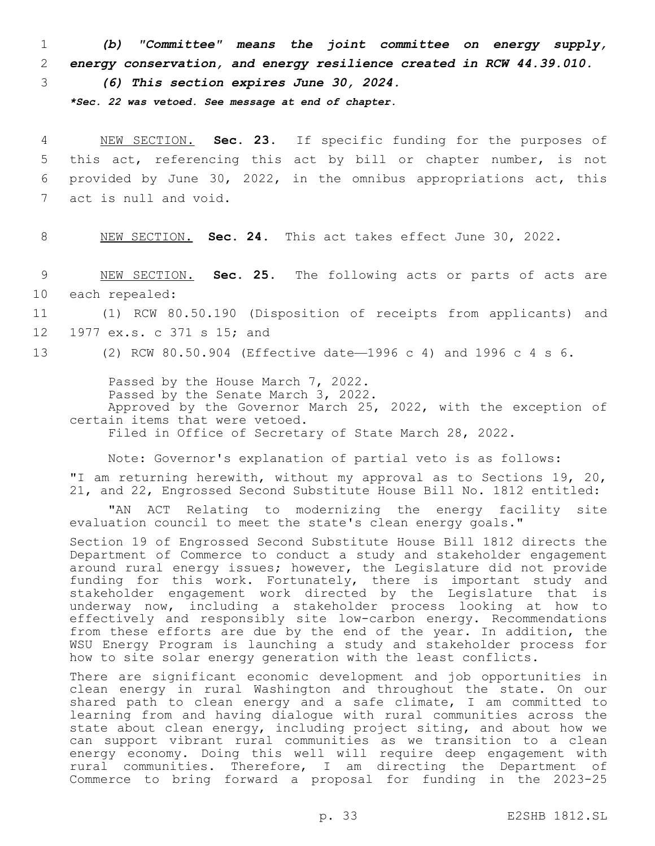1 *(b) "Committee" means the joint committee on energy supply,*  2 *energy conservation, and energy resilience created in RCW 44.39.010.*

3 *(6) This section expires June 30, 2024.*

*\*Sec. 22 was vetoed. See message at end of chapter.*

 NEW SECTION. **Sec. 23.** If specific funding for the purposes of this act, referencing this act by bill or chapter number, is not provided by June 30, 2022, in the omnibus appropriations act, this act is null and void.

8 NEW SECTION. **Sec. 24.** This act takes effect June 30, 2022.

9 NEW SECTION. **Sec. 25.** The following acts or parts of acts are 10 each repealed:

11 (1) RCW 80.50.190 (Disposition of receipts from applicants) and 12 1977 ex.s. c 371 s 15; and

13 (2) RCW 80.50.904 (Effective date—1996 c 4) and 1996 c 4 s 6.

Passed by the House March 7, 2022. Passed by the Senate March 3, 2022. Approved by the Governor March 25, 2022, with the exception of certain items that were vetoed. Filed in Office of Secretary of State March 28, 2022.

Note: Governor's explanation of partial veto is as follows:

"I am returning herewith, without my approval as to Sections 19, 20, 21, and 22, Engrossed Second Substitute House Bill No. 1812 entitled:

"AN ACT Relating to modernizing the energy facility site evaluation council to meet the state's clean energy goals."

Section 19 of Engrossed Second Substitute House Bill 1812 directs the Department of Commerce to conduct a study and stakeholder engagement around rural energy issues; however, the Legislature did not provide funding for this work. Fortunately, there is important study and stakeholder engagement work directed by the Legislature that is underway now, including a stakeholder process looking at how to effectively and responsibly site low-carbon energy. Recommendations from these efforts are due by the end of the year. In addition, the WSU Energy Program is launching a study and stakeholder process for how to site solar energy generation with the least conflicts.

There are significant economic development and job opportunities in clean energy in rural Washington and throughout the state. On our shared path to clean energy and a safe climate, I am committed to learning from and having dialogue with rural communities across the state about clean energy, including project siting, and about how we can support vibrant rural communities as we transition to a clean energy economy. Doing this well will require deep engagement with rural communities. Therefore, I am directing the Department of Commerce to bring forward a proposal for funding in the 2023-25